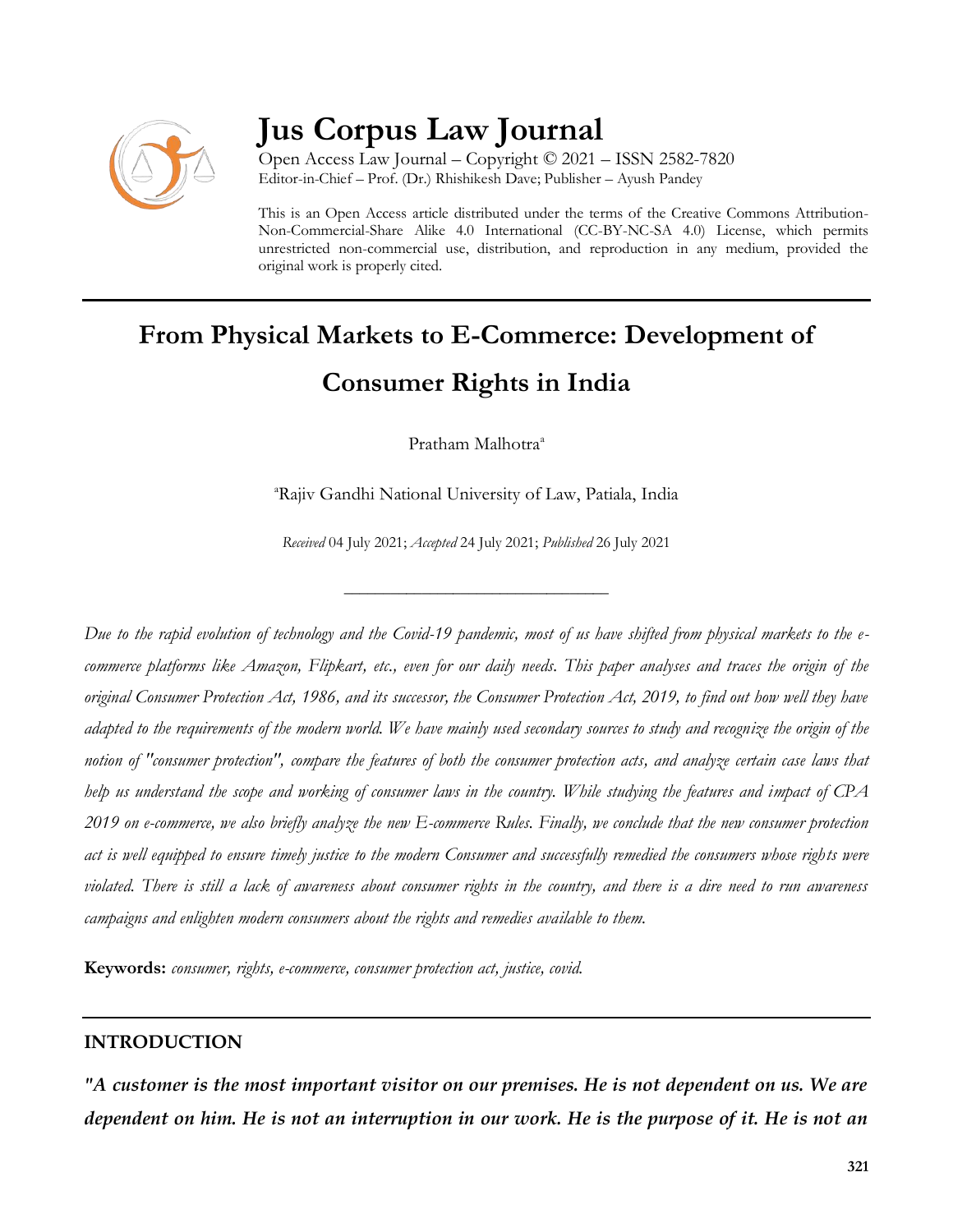

# **Jus Corpus Law Journal**

Open Access Law Journal – Copyright © 2021 – ISSN 2582-7820 Editor-in-Chief – Prof. (Dr.) Rhishikesh Dave; Publisher – Ayush Pandey

This is an Open Access article distributed under the terms of the Creative Commons Attribution-Non-Commercial-Share Alike 4.0 International (CC-BY-NC-SA 4.0) License, which permits unrestricted non-commercial use, distribution, and reproduction in any medium, provided the original work is properly cited.

# **From Physical Markets to E-Commerce: Development of Consumer Rights in India**

Pratham Malhotra<sup>a</sup>

<sup>a</sup>Rajiv Gandhi National University of Law, Patiala, India

*Received* 04 July 2021; *Accepted* 24 July 2021; *Published* 26 July 2021

\_\_\_\_\_\_\_\_\_\_\_\_\_\_\_\_\_\_\_\_\_\_\_\_\_\_\_\_\_\_\_\_\_\_

*Due to the rapid evolution of technology and the Covid-19 pandemic, most of us have shifted from physical markets to the ecommerce platforms like Amazon, Flipkart, etc., even for our daily needs. This paper analyses and traces the origin of the original Consumer Protection Act, 1986, and its successor, the Consumer Protection Act, 2019, to find out how well they have adapted to the requirements of the modern world. We have mainly used secondary sources to study and recognize the origin of the notion of "consumer protection", compare the features of both the consumer protection acts, and analyze certain case laws that help us understand the scope and working of consumer laws in the country. While studying the features and impact of CPA 2019 on e-commerce, we also briefly analyze the new E-commerce Rules. Finally, we conclude that the new consumer protection act is well equipped to ensure timely justice to the modern Consumer and successfully remedied the consumers whose rights were violated. There is still a lack of awareness about consumer rights in the country, and there is a dire need to run awareness campaigns and enlighten modern consumers about the rights and remedies available to them.*

**Keywords:** *consumer, rights, e-commerce, consumer protection act, justice, covid.*

#### **INTRODUCTION**

*"A customer is the most important visitor on our premises. He is not dependent on us. We are dependent on him. He is not an interruption in our work. He is the purpose of it. He is not an*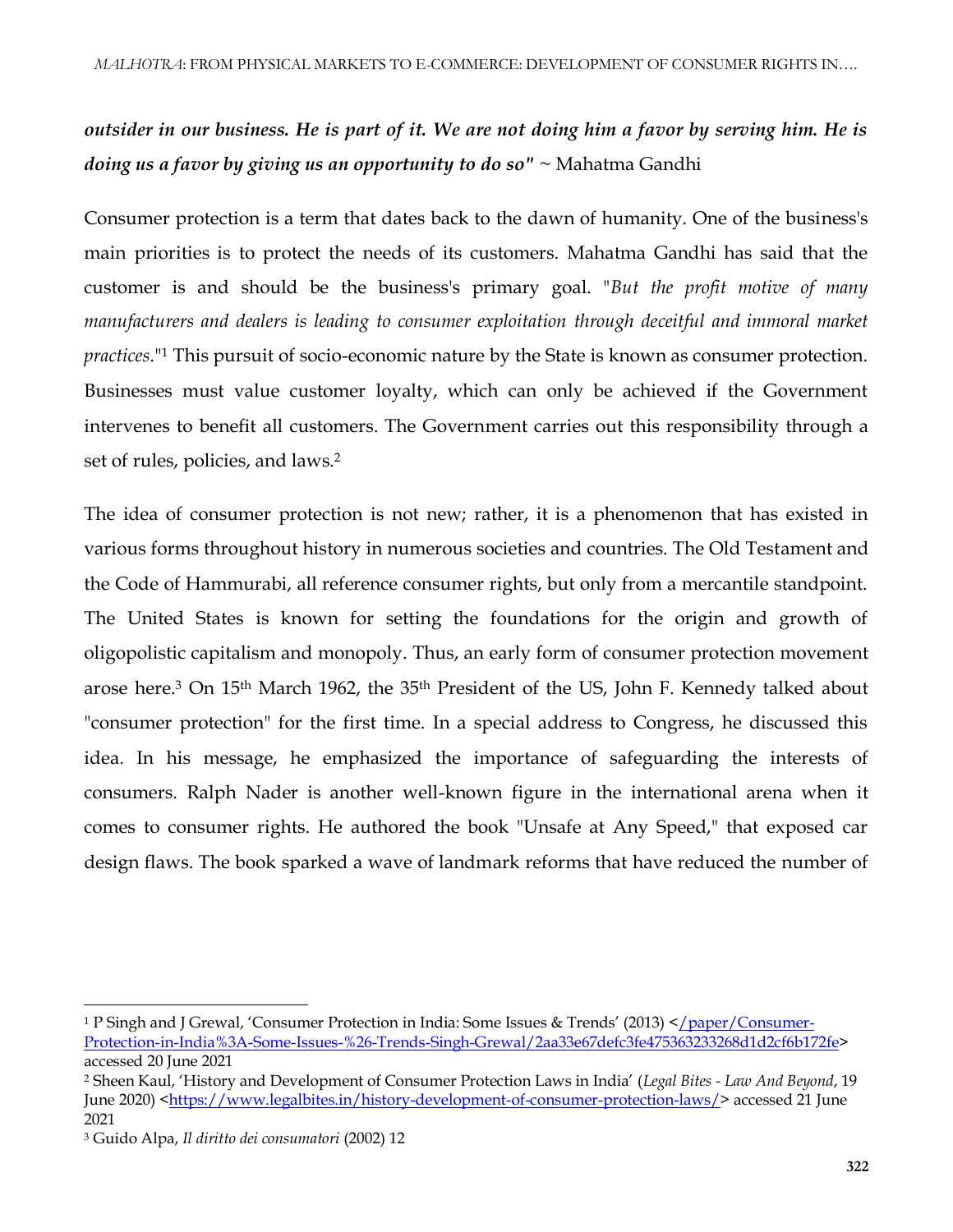## *outsider in our business. He is part of it. We are not doing him a favor by serving him. He is doing us a favor by giving us an opportunity to do so" ~* Mahatma Gandhi

Consumer protection is a term that dates back to the dawn of humanity. One of the business's main priorities is to protect the needs of its customers. Mahatma Gandhi has said that the customer is and should be the business's primary goal. "*But the profit motive of many manufacturers and dealers is leading to consumer exploitation through deceitful and immoral market practices*."<sup>1</sup> This pursuit of socio-economic nature by the State is known as consumer protection. Businesses must value customer loyalty, which can only be achieved if the Government intervenes to benefit all customers. The Government carries out this responsibility through a set of rules, policies, and laws.<sup>2</sup>

The idea of consumer protection is not new; rather, it is a phenomenon that has existed in various forms throughout history in numerous societies and countries. The Old Testament and the Code of Hammurabi, all reference consumer rights, but only from a mercantile standpoint. The United States is known for setting the foundations for the origin and growth of oligopolistic capitalism and monopoly. Thus, an early form of consumer protection movement arose here.<sup>3</sup> On 15th March 1962, the 35th President of the US, John F. Kennedy talked about "consumer protection" for the first time. In a special address to Congress, he discussed this idea. In his message, he emphasized the importance of safeguarding the interests of consumers. Ralph Nader is another well-known figure in the international arena when it comes to consumer rights. He authored the book "Unsafe at Any Speed," that exposed car design flaws. The book sparked a wave of landmark reforms that have reduced the number of

<sup>1</sup> P Singh and J Grewal, 'Consumer Protection in India: Some Issues & Trends' (2013) <[/paper/Consumer-](/paper/Consumer-Protection-in-India%3A-Some-Issues-%26-Trends-Singh-Grewal/2aa33e67defc3fe475363233268d1d2cf6b172fe)[Protection-in-India%3A-Some-Issues-%26-Trends-Singh-Grewal/2aa33e67defc3fe475363233268d1d2cf6b172fe>](/paper/Consumer-Protection-in-India%3A-Some-Issues-%26-Trends-Singh-Grewal/2aa33e67defc3fe475363233268d1d2cf6b172fe) accessed 20 June 2021

<sup>2</sup> Sheen Kaul, 'History and Development of Consumer Protection Laws in India' (*Legal Bites - Law And Beyond*, 19 June 2020) [<https://www.legalbites.in/history-development-of-consumer-protection-laws/>](https://www.legalbites.in/history-development-of-consumer-protection-laws/) accessed 21 June 2021

<sup>3</sup> Guido Alpa, *Il diritto dei consumatori* (2002) 12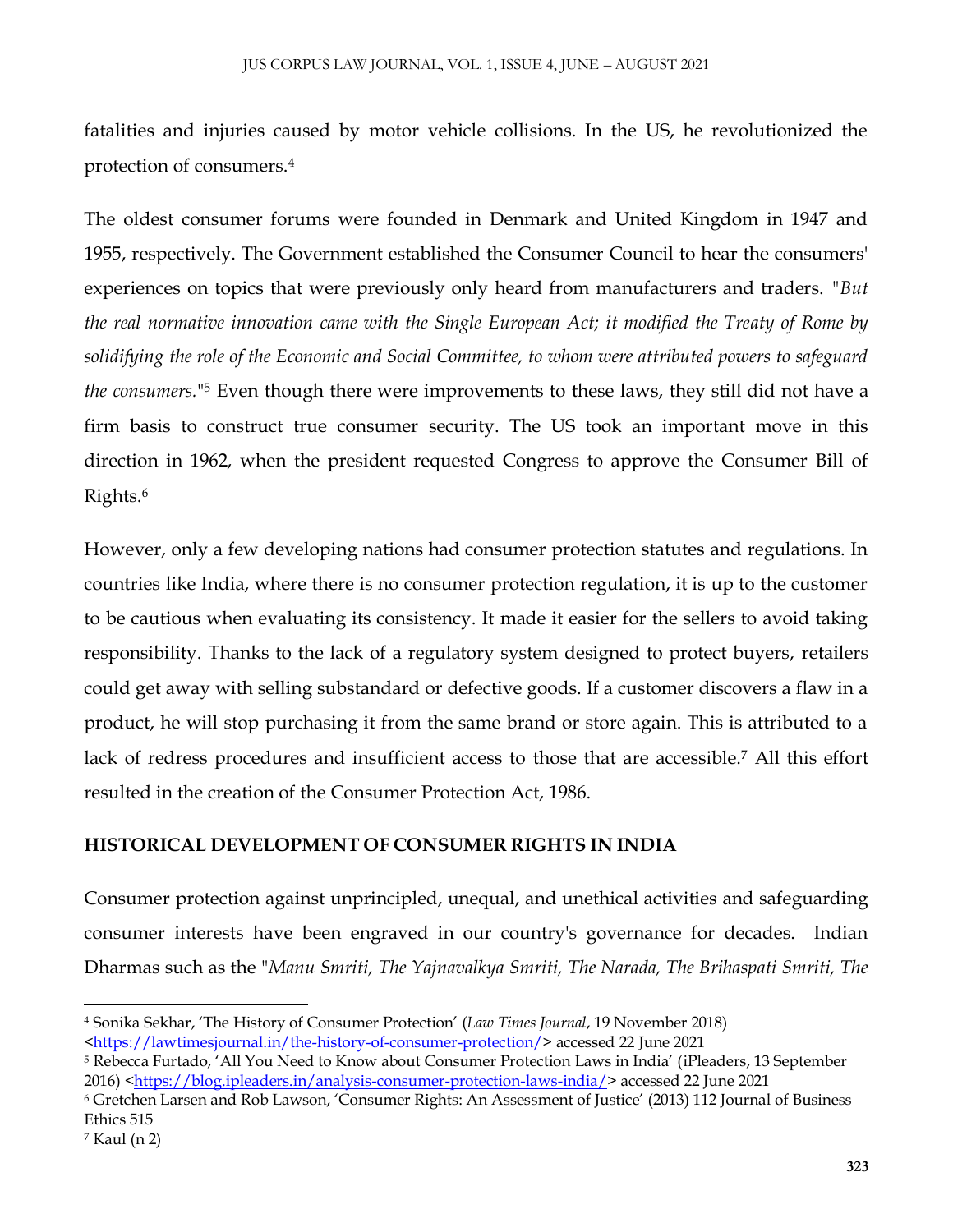fatalities and injuries caused by motor vehicle collisions. In the US, he revolutionized the protection of consumers.<sup>4</sup>

The oldest consumer forums were founded in Denmark and United Kingdom in 1947 and 1955, respectively. The Government established the Consumer Council to hear the consumers' experiences on topics that were previously only heard from manufacturers and traders. *"But the real normative innovation came with the Single European Act; it modified the Treaty of Rome by solidifying the role of the Economic and Social Committee, to whom were attributed powers to safeguard the consumers.*" <sup>5</sup> Even though there were improvements to these laws, they still did not have a firm basis to construct true consumer security. The US took an important move in this direction in 1962, when the president requested Congress to approve the Consumer Bill of Rights.<sup>6</sup>

However, only a few developing nations had consumer protection statutes and regulations. In countries like India, where there is no consumer protection regulation, it is up to the customer to be cautious when evaluating its consistency. It made it easier for the sellers to avoid taking responsibility. Thanks to the lack of a regulatory system designed to protect buyers, retailers could get away with selling substandard or defective goods. If a customer discovers a flaw in a product, he will stop purchasing it from the same brand or store again. This is attributed to a lack of redress procedures and insufficient access to those that are accessible.<sup>7</sup> All this effort resulted in the creation of the Consumer Protection Act, 1986.

#### **HISTORICAL DEVELOPMENT OF CONSUMER RIGHTS IN INDIA**

Consumer protection against unprincipled, unequal, and unethical activities and safeguarding consumer interests have been engraved in our country's governance for decades. Indian Dharmas such as the "*Manu Smriti, The Yajnavalkya Smriti, The Narada, The Brihaspati Smriti, The* 

 $\overline{a}$ <sup>4</sup> Sonika Sekhar, 'The History of Consumer Protection' (*Law Times Journal*, 19 November 2018)

[<sup>&</sup>lt;https://lawtimesjournal.in/the-history-of-consumer-protection/>](https://lawtimesjournal.in/the-history-of-consumer-protection/) accessed 22 June 2021

<sup>5</sup> Rebecca Furtado, 'All You Need to Know about Consumer Protection Laws in India' (iPleaders, 13 September 2016) [<https://blog.ipleaders.in/analysis-consumer-protection-laws-india/>](https://blog.ipleaders.in/analysis-consumer-protection-laws-india/) accessed 22 June 2021

<sup>6</sup> Gretchen Larsen and Rob Lawson, 'Consumer Rights: An Assessment of Justice' (2013) 112 Journal of Business Ethics 515

<sup>7</sup> Kaul (n 2)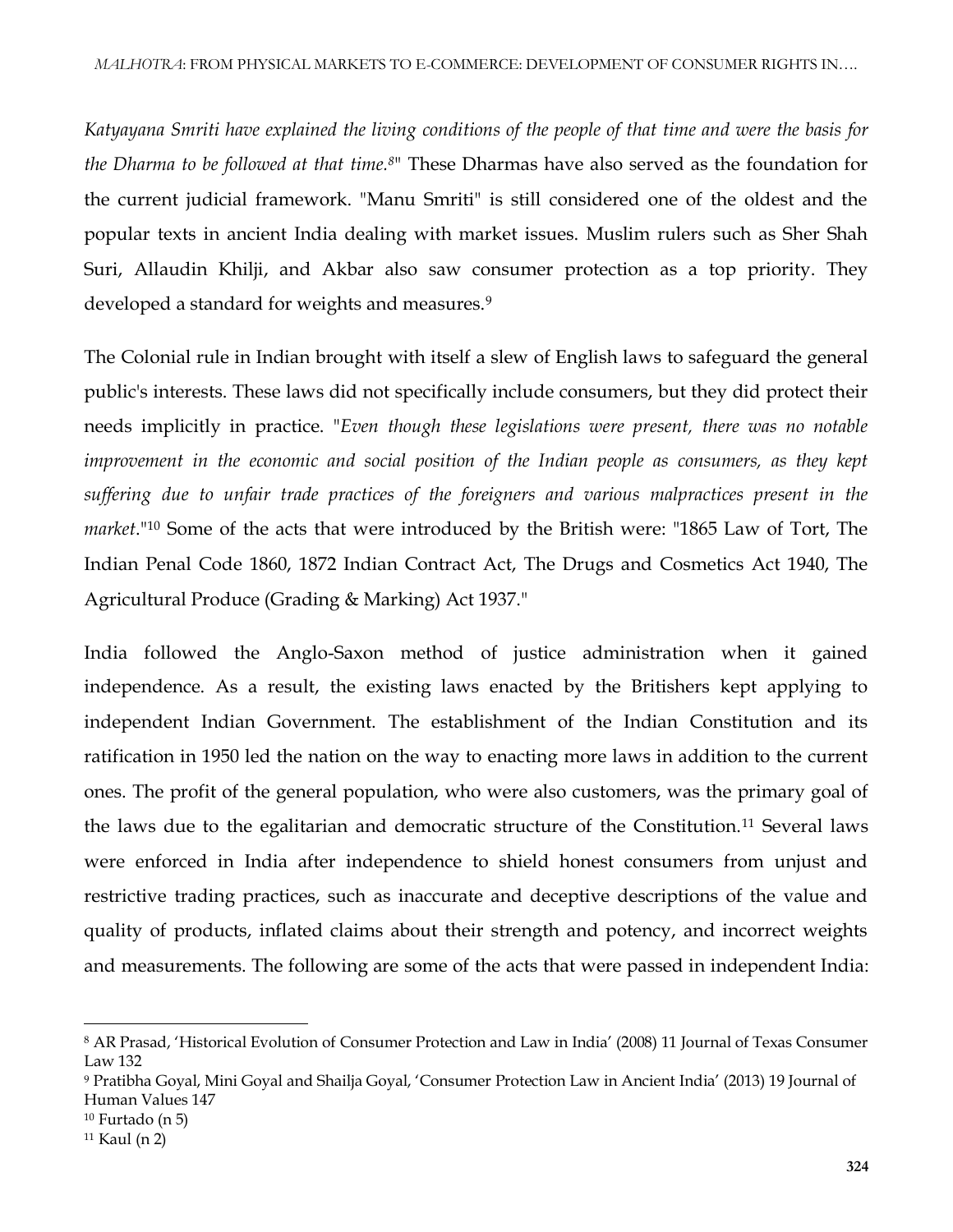*Katyayana Smriti have explained the living conditions of the people of that time and were the basis for the Dharma to be followed at that time.<sup>8</sup>*" These Dharmas have also served as the foundation for the current judicial framework. "Manu Smriti" is still considered one of the oldest and the popular texts in ancient India dealing with market issues. Muslim rulers such as Sher Shah Suri, Allaudin Khilji, and Akbar also saw consumer protection as a top priority. They developed a standard for weights and measures.<sup>9</sup>

The Colonial rule in Indian brought with itself a slew of English laws to safeguard the general public's interests. These laws did not specifically include consumers, but they did protect their needs implicitly in practice. "*Even though these legislations were present, there was no notable improvement in the economic and social position of the Indian people as consumers, as they kept suffering due to unfair trade practices of the foreigners and various malpractices present in the market*."<sup>10</sup> Some of the acts that were introduced by the British were: "1865 Law of Tort, The Indian Penal Code 1860, 1872 Indian Contract Act, The Drugs and Cosmetics Act 1940, The Agricultural Produce (Grading & Marking) Act 1937."

India followed the Anglo-Saxon method of justice administration when it gained independence. As a result, the existing laws enacted by the Britishers kept applying to independent Indian Government. The establishment of the Indian Constitution and its ratification in 1950 led the nation on the way to enacting more laws in addition to the current ones. The profit of the general population, who were also customers, was the primary goal of the laws due to the egalitarian and democratic structure of the Constitution.<sup>11</sup> Several laws were enforced in India after independence to shield honest consumers from unjust and restrictive trading practices, such as inaccurate and deceptive descriptions of the value and quality of products, inflated claims about their strength and potency, and incorrect weights and measurements. The following are some of the acts that were passed in independent India:

<sup>8</sup> AR Prasad, 'Historical Evolution of Consumer Protection and Law in India' (2008) 11 Journal of Texas Consumer Law 132

<sup>9</sup> Pratibha Goyal, Mini Goyal and Shailja Goyal, 'Consumer Protection Law in Ancient India' (2013) 19 Journal of Human Values 147

<sup>10</sup> Furtado (n 5)

<sup>11</sup> Kaul (n 2)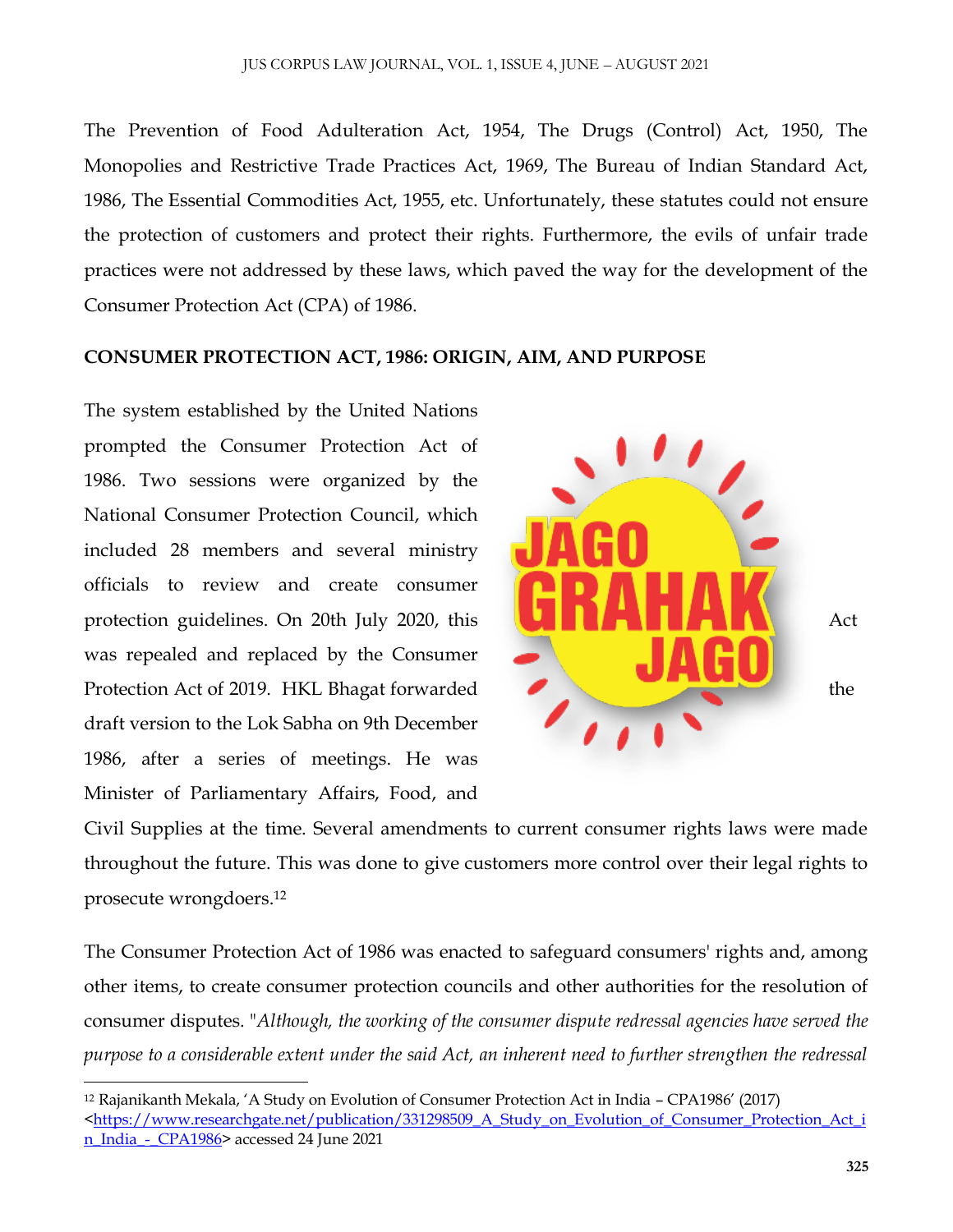The Prevention of Food Adulteration Act, 1954, The Drugs (Control) Act, 1950, The Monopolies and Restrictive Trade Practices Act, 1969, The Bureau of Indian Standard Act, 1986, The Essential Commodities Act, 1955, etc. Unfortunately, these statutes could not ensure the protection of customers and protect their rights. Furthermore, the evils of unfair trade practices were not addressed by these laws, which paved the way for the development of the Consumer Protection Act (CPA) of 1986.

#### **CONSUMER PROTECTION ACT, 1986: ORIGIN, AIM, AND PURPOSE**

The system established by the United Nations prompted the Consumer Protection Act of 1986. Two sessions were organized by the National Consumer Protection Council, which included 28 members and several ministry officials to review and create consumer protection guidelines. On 20th July 2020, this Act was repealed and replaced by the Consumer Protection Act of 2019. HKL Bhagat forwarded the the draft version to the Lok Sabha on 9th December 1986, after a series of meetings. He was Minister of Parliamentary Affairs, Food, and

 $\overline{\phantom{a}}$ 



Civil Supplies at the time. Several amendments to current consumer rights laws were made throughout the future. This was done to give customers more control over their legal rights to prosecute wrongdoers. 12

The Consumer Protection Act of 1986 was enacted to safeguard consumers' rights and, among other items, to create consumer protection councils and other authorities for the resolution of consumer disputes. "*Although, the working of the consumer dispute redressal agencies have served the purpose to a considerable extent under the said Act, an inherent need to further strengthen the redressal* 

<sup>12</sup> Rajanikanth Mekala, 'A Study on Evolution of Consumer Protection Act in India – CPA1986' (2017) [<https://www.researchgate.net/publication/331298509\\_A\\_Study\\_on\\_Evolution\\_of\\_Consumer\\_Protection\\_Act\\_i](https://www.researchgate.net/publication/331298509_A_Study_on_Evolution_of_Consumer_Protection_Act_in_India_-_CPA1986) [n\\_India\\_-\\_CPA1986>](https://www.researchgate.net/publication/331298509_A_Study_on_Evolution_of_Consumer_Protection_Act_in_India_-_CPA1986) accessed 24 June 2021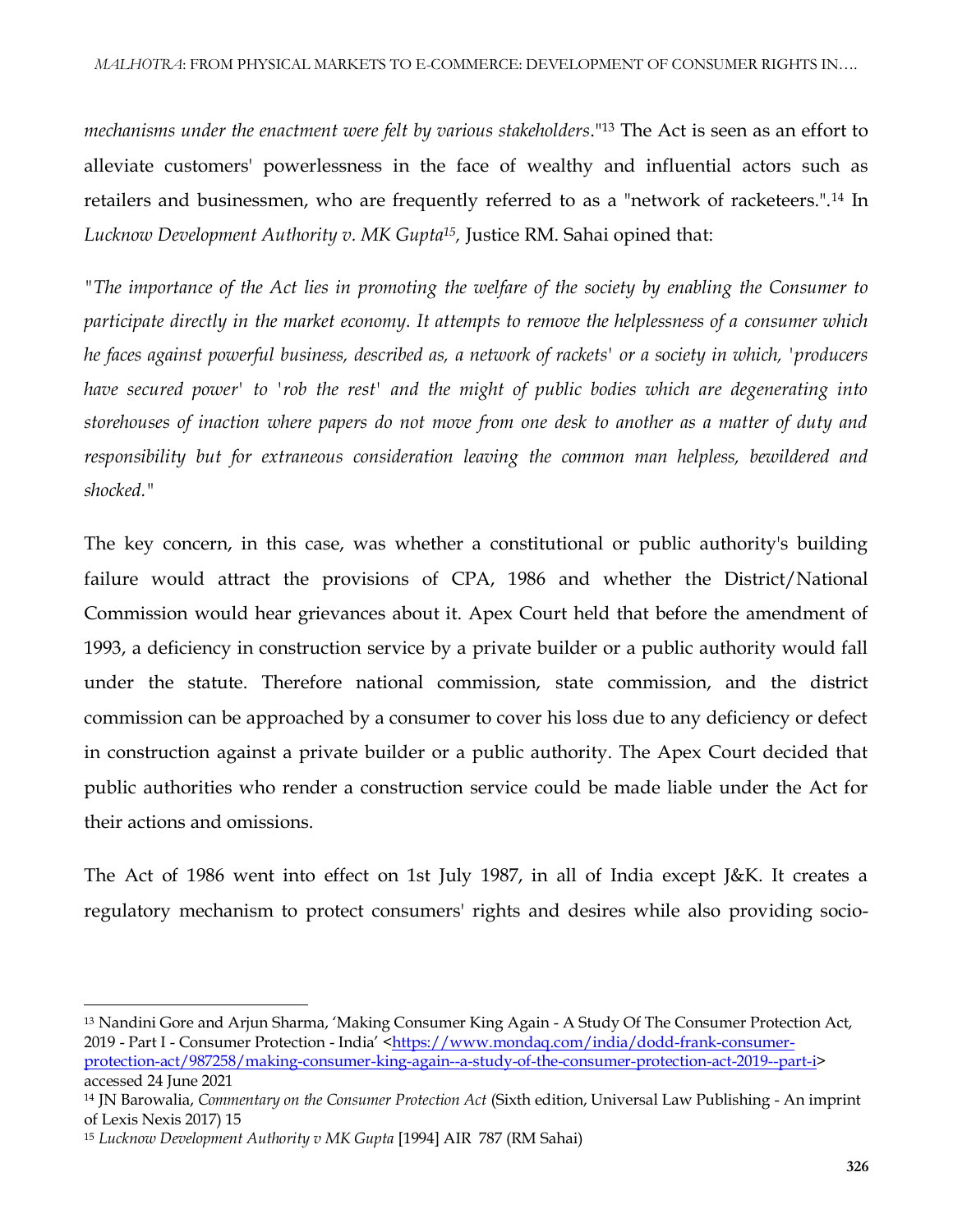*mechanisms under the enactment were felt by various stakeholders*."<sup>13</sup> The Act is seen as an effort to alleviate customers' powerlessness in the face of wealthy and influential actors such as retailers and businessmen, who are frequently referred to as a "network of racketeers.".<sup>14</sup> In *Lucknow Development Authority v. MK Gupta<sup>15</sup> ,* Justice RM. Sahai opined that:

*"The importance of the Act lies in promoting the welfare of the society by enabling the Consumer to participate directly in the market economy. It attempts to remove the helplessness of a consumer which he faces against powerful business, described as, a network of rackets' or a society in which, 'producers have secured power' to 'rob the rest' and the might of public bodies which are degenerating into storehouses of inaction where papers do not move from one desk to another as a matter of duty and responsibility but for extraneous consideration leaving the common man helpless, bewildered and shocked."*

The key concern, in this case, was whether a constitutional or public authority's building failure would attract the provisions of CPA, 1986 and whether the District/National Commission would hear grievances about it. Apex Court held that before the amendment of 1993, a deficiency in construction service by a private builder or a public authority would fall under the statute. Therefore national commission, state commission, and the district commission can be approached by a consumer to cover his loss due to any deficiency or defect in construction against a private builder or a public authority. The Apex Court decided that public authorities who render a construction service could be made liable under the Act for their actions and omissions.

The Act of 1986 went into effect on 1st July 1987, in all of India except J&K. It creates a regulatory mechanism to protect consumers' rights and desires while also providing socio-

<sup>13</sup> Nandini Gore and Arjun Sharma, 'Making Consumer King Again - A Study Of The Consumer Protection Act, 2019 - Part I - Consumer Protection - India' <[https://www.mondaq.com/india/dodd-frank-consumer](https://www.mondaq.com/india/dodd-frank-consumer-protection-act/987258/making-consumer-king-again--a-study-of-the-consumer-protection-act-2019--part-i)[protection-act/987258/making-consumer-king-again--a-study-of-the-consumer-protection-act-2019--part-i>](https://www.mondaq.com/india/dodd-frank-consumer-protection-act/987258/making-consumer-king-again--a-study-of-the-consumer-protection-act-2019--part-i) accessed 24 June 2021

<sup>14</sup> JN Barowalia, *Commentary on the Consumer Protection Act* (Sixth edition, Universal Law Publishing - An imprint of Lexis Nexis 2017) 15

<sup>15</sup> *Lucknow Development Authority v MK Gupta* [1994] AIR 787 (RM Sahai)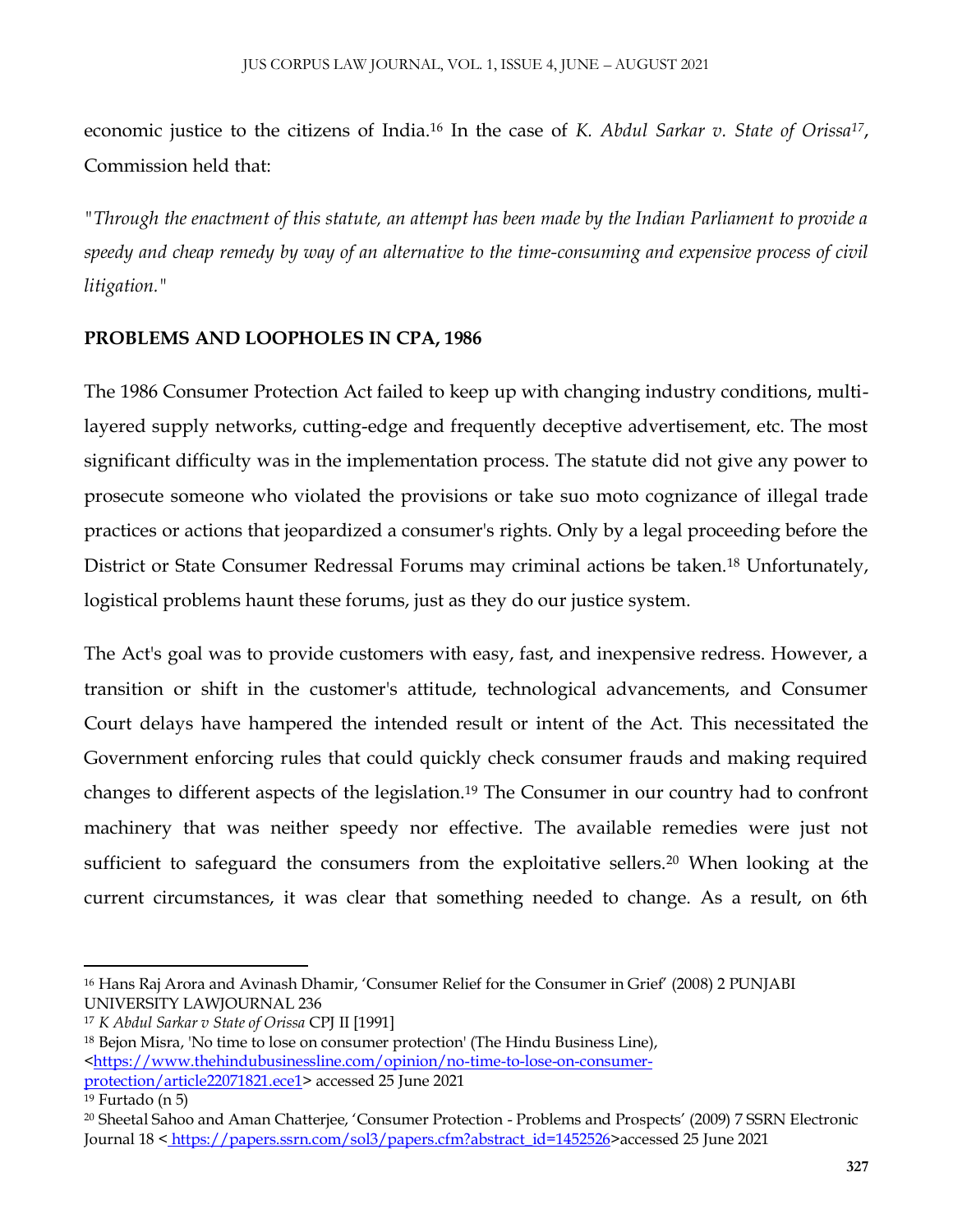economic justice to the citizens of India.<sup>16</sup> In the case of *K. Abdul Sarkar v. State of Orissa<sup>17</sup>* , Commission held that:

*"Through the enactment of this statute, an attempt has been made by the Indian Parliament to provide a speedy and cheap remedy by way of an alternative to the time-consuming and expensive process of civil litigation."*

#### **PROBLEMS AND LOOPHOLES IN CPA, 1986**

The 1986 Consumer Protection Act failed to keep up with changing industry conditions, multilayered supply networks, cutting-edge and frequently deceptive advertisement, etc. The most significant difficulty was in the implementation process. The statute did not give any power to prosecute someone who violated the provisions or take suo moto cognizance of illegal trade practices or actions that jeopardized a consumer's rights. Only by a legal proceeding before the District or State Consumer Redressal Forums may criminal actions be taken.<sup>18</sup> Unfortunately, logistical problems haunt these forums, just as they do our justice system.

The Act's goal was to provide customers with easy, fast, and inexpensive redress. However, a transition or shift in the customer's attitude, technological advancements, and Consumer Court delays have hampered the intended result or intent of the Act. This necessitated the Government enforcing rules that could quickly check consumer frauds and making required changes to different aspects of the legislation.<sup>19</sup> The Consumer in our country had to confront machinery that was neither speedy nor effective. The available remedies were just not sufficient to safeguard the consumers from the exploitative sellers.<sup>20</sup> When looking at the current circumstances, it was clear that something needed to change. As a result, on 6th

 $\overline{\phantom{a}}$ <sup>16</sup> Hans Raj Arora and Avinash Dhamir, 'Consumer Relief for the Consumer in Grief' (2008) 2 PUNJABI UNIVERSITY LAWJOURNAL 236

<sup>17</sup> *K Abdul Sarkar v State of Orissa* CPJ II [1991]

<sup>18</sup> Bejon Misra, 'No time to lose on consumer protection' (The Hindu Business Line), [<https://www.thehindubusinessline.com/opinion/no-time-to-lose-on-consumer](https://www.thehindubusinessline.com/opinion/no-time-to-lose-on-consumer-protection/article22071821.ece1)[protection/article22071821.ece1>](https://www.thehindubusinessline.com/opinion/no-time-to-lose-on-consumer-protection/article22071821.ece1) accessed 25 June 2021

<sup>19</sup> Furtado (n 5)

<sup>20</sup> Sheetal Sahoo and Aman Chatterjee, 'Consumer Protection - Problems and Prospects' (2009) 7 SSRN Electronic Journal 18 < [https://papers.ssrn.com/sol3/papers.cfm?abstract\\_id=1452526>](https://papers.ssrn.com/sol3/papers.cfm?abstract_id=1452526)accessed 25 June 2021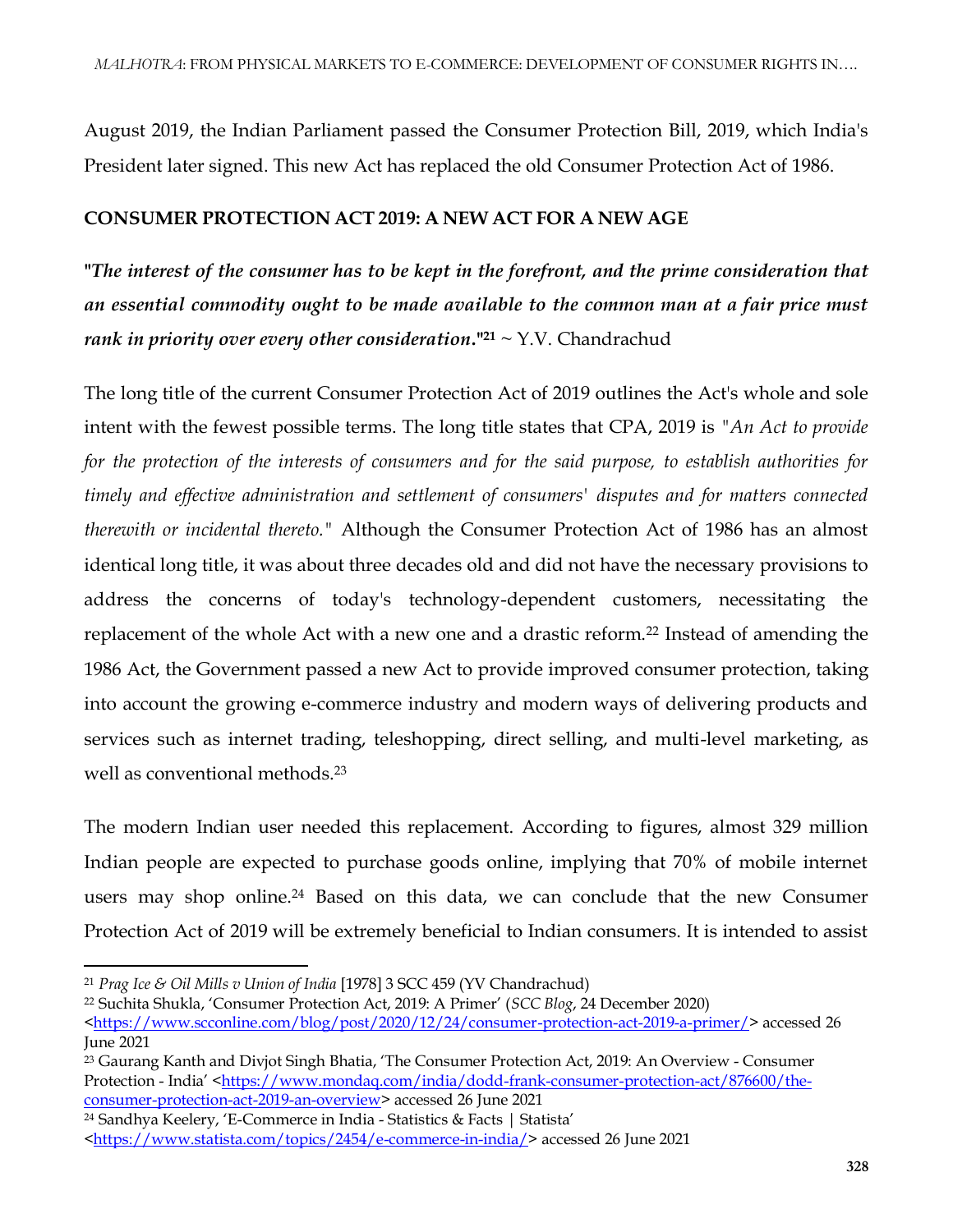August 2019, the Indian Parliament passed the Consumer Protection Bill, 2019, which India's President later signed. This new Act has replaced the old Consumer Protection Act of 1986.

### **CONSUMER PROTECTION ACT 2019: A NEW ACT FOR A NEW AGE**

**"***The interest of the consumer has to be kept in the forefront, and the prime consideration that an essential commodity ought to be made available to the common man at a fair price must rank in priority over every other consideration.*" $21 \sim Y.V.$  Chandrachud

The long title of the current Consumer Protection Act of 2019 outlines the Act's whole and sole intent with the fewest possible terms. The long title states that CPA, 2019 is *"An Act to provide for the protection of the interests of consumers and for the said purpose, to establish authorities for timely and effective administration and settlement of consumers' disputes and for matters connected therewith or incidental thereto."* Although the Consumer Protection Act of 1986 has an almost identical long title, it was about three decades old and did not have the necessary provisions to address the concerns of today's technology-dependent customers, necessitating the replacement of the whole Act with a new one and a drastic reform.<sup>22</sup> Instead of amending the 1986 Act, the Government passed a new Act to provide improved consumer protection, taking into account the growing e-commerce industry and modern ways of delivering products and services such as internet trading, teleshopping, direct selling, and multi-level marketing, as well as conventional methods.<sup>23</sup>

The modern Indian user needed this replacement. According to figures, almost 329 million Indian people are expected to purchase goods online, implying that 70% of mobile internet users may shop online.<sup>24</sup> Based on this data, we can conclude that the new Consumer Protection Act of 2019 will be extremely beneficial to Indian consumers. It is intended to assist

<sup>23</sup> Gaurang Kanth and Divjot Singh Bhatia, 'The Consumer Protection Act, 2019: An Overview - Consumer Protection - India' <[https://www.mondaq.com/india/dodd-frank-consumer-protection-act/876600/the](https://www.mondaq.com/india/dodd-frank-consumer-protection-act/876600/the-consumer-protection-act-2019-an-overview)[consumer-protection-act-2019-an-overview>](https://www.mondaq.com/india/dodd-frank-consumer-protection-act/876600/the-consumer-protection-act-2019-an-overview) accessed 26 June 2021

 $\overline{\phantom{a}}$ <sup>21</sup> *Prag Ice & Oil Mills v Union of India* [1978] 3 SCC 459 (YV Chandrachud)

<sup>22</sup> Suchita Shukla, 'Consumer Protection Act, 2019: A Primer' (*SCC Blog*, 24 December 2020)

[<sup>&</sup>lt;https://www.scconline.com/blog/post/2020/12/24/consumer-protection-act-2019-a-primer/>](https://www.scconline.com/blog/post/2020/12/24/consumer-protection-act-2019-a-primer/) accessed 26 June 2021

<sup>24</sup> Sandhya Keelery, 'E-Commerce in India - Statistics & Facts | Statista'

[<sup>&</sup>lt;https://www.statista.com/topics/2454/e-commerce-in-india/>](https://www.statista.com/topics/2454/e-commerce-in-india/)accessed 26 June 2021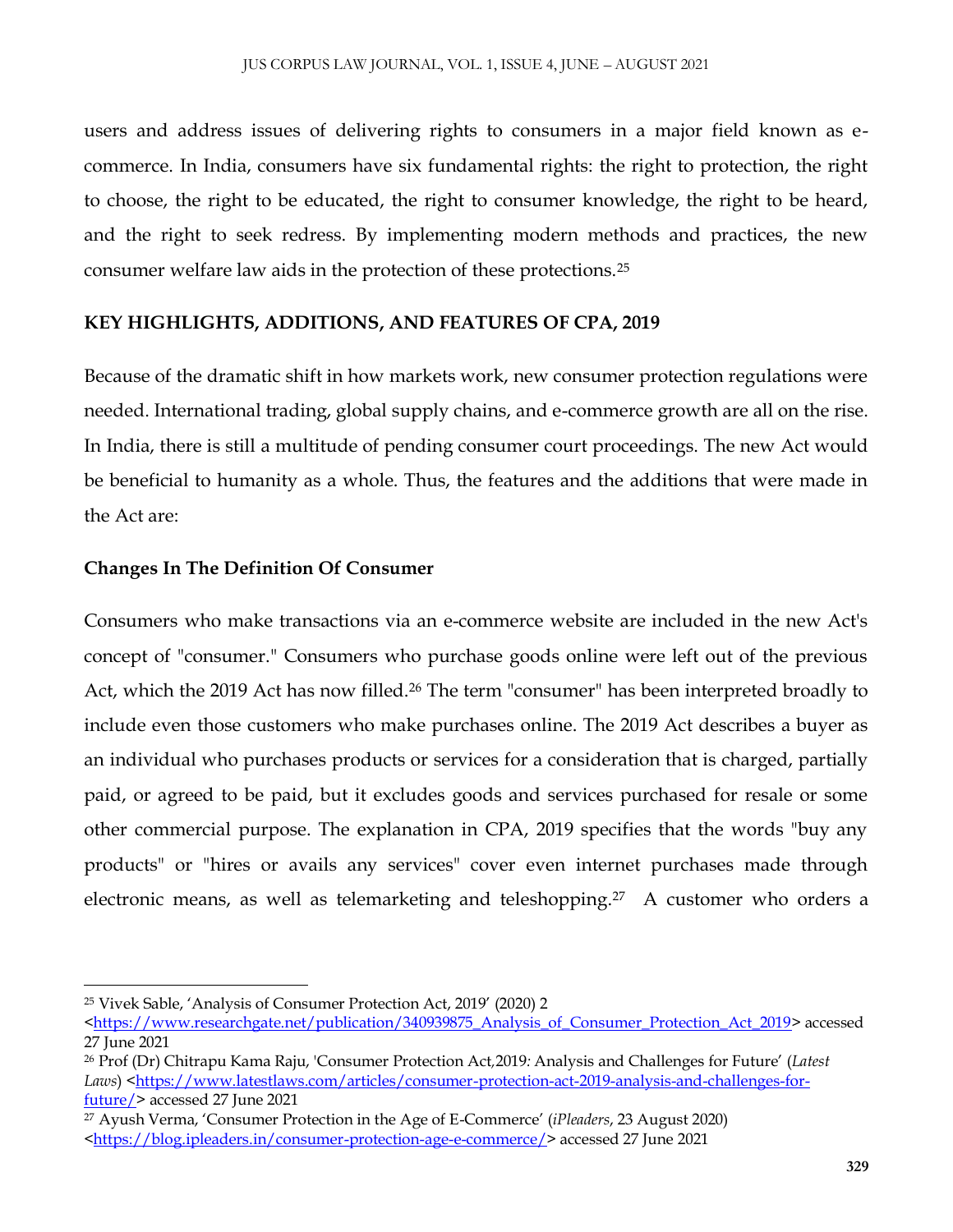users and address issues of delivering rights to consumers in a major field known as ecommerce. In India, consumers have six fundamental rights: the right to protection, the right to choose, the right to be educated, the right to consumer knowledge, the right to be heard, and the right to seek redress. By implementing modern methods and practices, the new consumer welfare law aids in the protection of these protections.<sup>25</sup>

#### **KEY HIGHLIGHTS, ADDITIONS, AND FEATURES OF CPA, 2019**

Because of the dramatic shift in how markets work, new consumer protection regulations were needed. International trading, global supply chains, and e-commerce growth are all on the rise. In India, there is still a multitude of pending consumer court proceedings. The new Act would be beneficial to humanity as a whole. Thus, the features and the additions that were made in the Act are:

#### **Changes In The Definition Of Consumer**

Consumers who make transactions via an e-commerce website are included in the new Act's concept of "consumer." Consumers who purchase goods online were left out of the previous Act, which the 2019 Act has now filled.<sup>26</sup> The term "consumer" has been interpreted broadly to include even those customers who make purchases online. The 2019 Act describes a buyer as an individual who purchases products or services for a consideration that is charged, partially paid, or agreed to be paid, but it excludes goods and services purchased for resale or some other commercial purpose. The explanation in CPA, 2019 specifies that the words "buy any products" or "hires or avails any services" cover even internet purchases made through electronic means, as well as telemarketing and teleshopping.<sup>27</sup> A customer who orders a

<sup>25</sup> Vivek Sable, 'Analysis of Consumer Protection Act, 2019' (2020) 2

[<sup>&</sup>lt;https://www.researchgate.net/publication/340939875\\_Analysis\\_of\\_Consumer\\_Protection\\_Act\\_2019>](https://www.researchgate.net/publication/340939875_Analysis_of_Consumer_Protection_Act_2019) accessed 27 June 2021

<sup>26</sup> Prof (Dr) Chitrapu Kama Raju, 'Consumer Protection Act*,*2019*:* Analysis and Challenges for Future' (*Latest*  Laws) [<https://www.latestlaws.com/articles/consumer-protection-act-2019-analysis-and-challenges-for](https://www.latestlaws.com/articles/consumer-protection-act-2019-analysis-and-challenges-for-future/)[future/>](https://www.latestlaws.com/articles/consumer-protection-act-2019-analysis-and-challenges-for-future/) accessed 27 June 2021

<sup>27</sup> Ayush Verma, 'Consumer Protection in the Age of E-Commerce' (*iPleaders*, 23 August 2020) [<https://blog.ipleaders.in/consumer-protection-age-e-commerce/>](https://blog.ipleaders.in/consumer-protection-age-e-commerce/) accessed 27 June 2021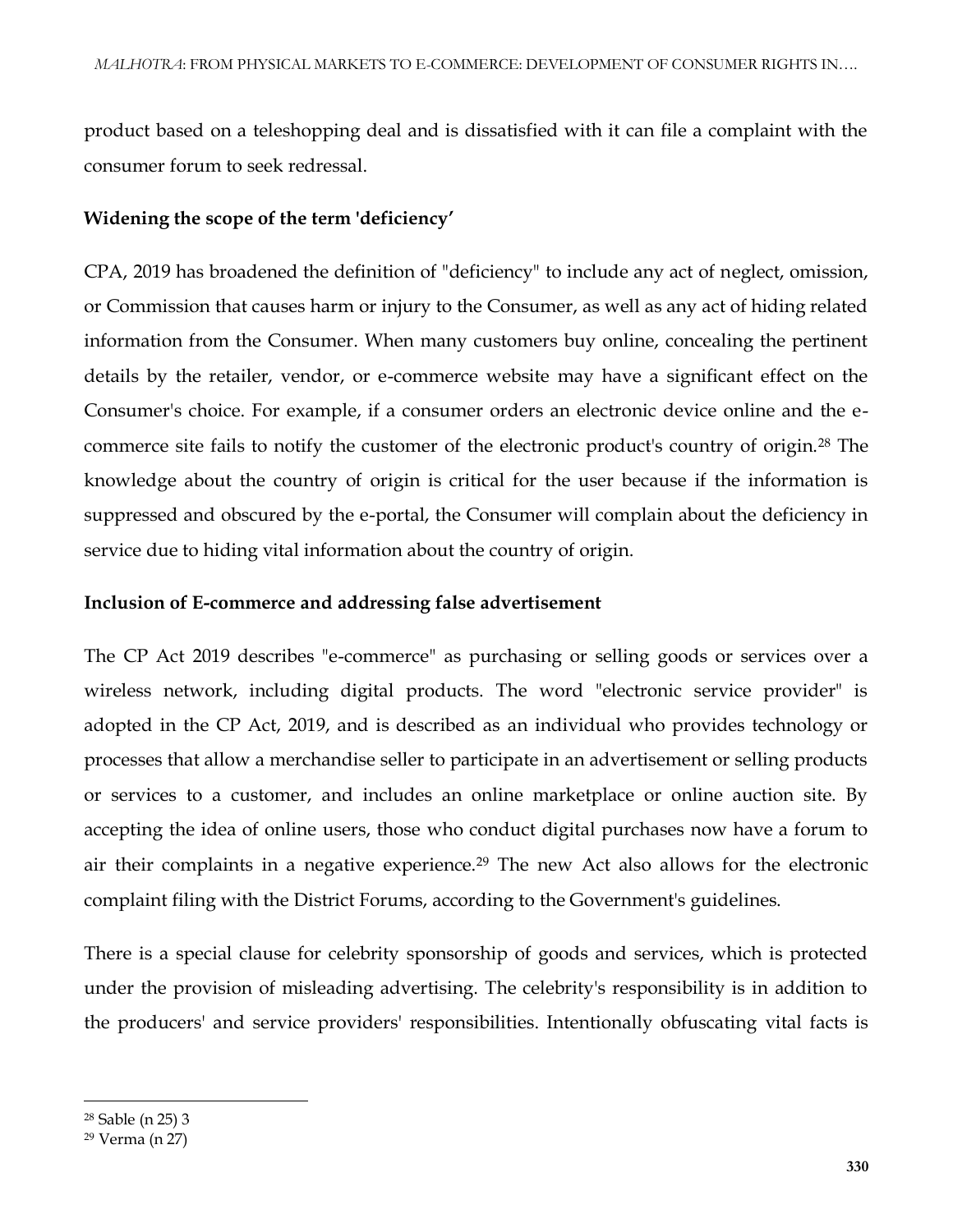product based on a teleshopping deal and is dissatisfied with it can file a complaint with the consumer forum to seek redressal.

#### **Widening the scope of the term 'deficiency'**

CPA, 2019 has broadened the definition of "deficiency" to include any act of neglect, omission, or Commission that causes harm or injury to the Consumer, as well as any act of hiding related information from the Consumer. When many customers buy online, concealing the pertinent details by the retailer, vendor, or e-commerce website may have a significant effect on the Consumer's choice. For example, if a consumer orders an electronic device online and the ecommerce site fails to notify the customer of the electronic product's country of origin.<sup>28</sup> The knowledge about the country of origin is critical for the user because if the information is suppressed and obscured by the e-portal, the Consumer will complain about the deficiency in service due to hiding vital information about the country of origin.

#### **Inclusion of E-commerce and addressing false advertisement**

The CP Act 2019 describes "e-commerce" as purchasing or selling goods or services over a wireless network, including digital products. The word "electronic service provider" is adopted in the CP Act, 2019, and is described as an individual who provides technology or processes that allow a merchandise seller to participate in an advertisement or selling products or services to a customer, and includes an online marketplace or online auction site. By accepting the idea of online users, those who conduct digital purchases now have a forum to air their complaints in a negative experience.<sup>29</sup> The new Act also allows for the electronic complaint filing with the District Forums, according to the Government's guidelines.

There is a special clause for celebrity sponsorship of goods and services, which is protected under the provision of misleading advertising. The celebrity's responsibility is in addition to the producers' and service providers' responsibilities. Intentionally obfuscating vital facts is

 $\overline{\phantom{a}}$ 

<sup>28</sup> Sable (n 25) 3

<sup>29</sup> Verma (n 27)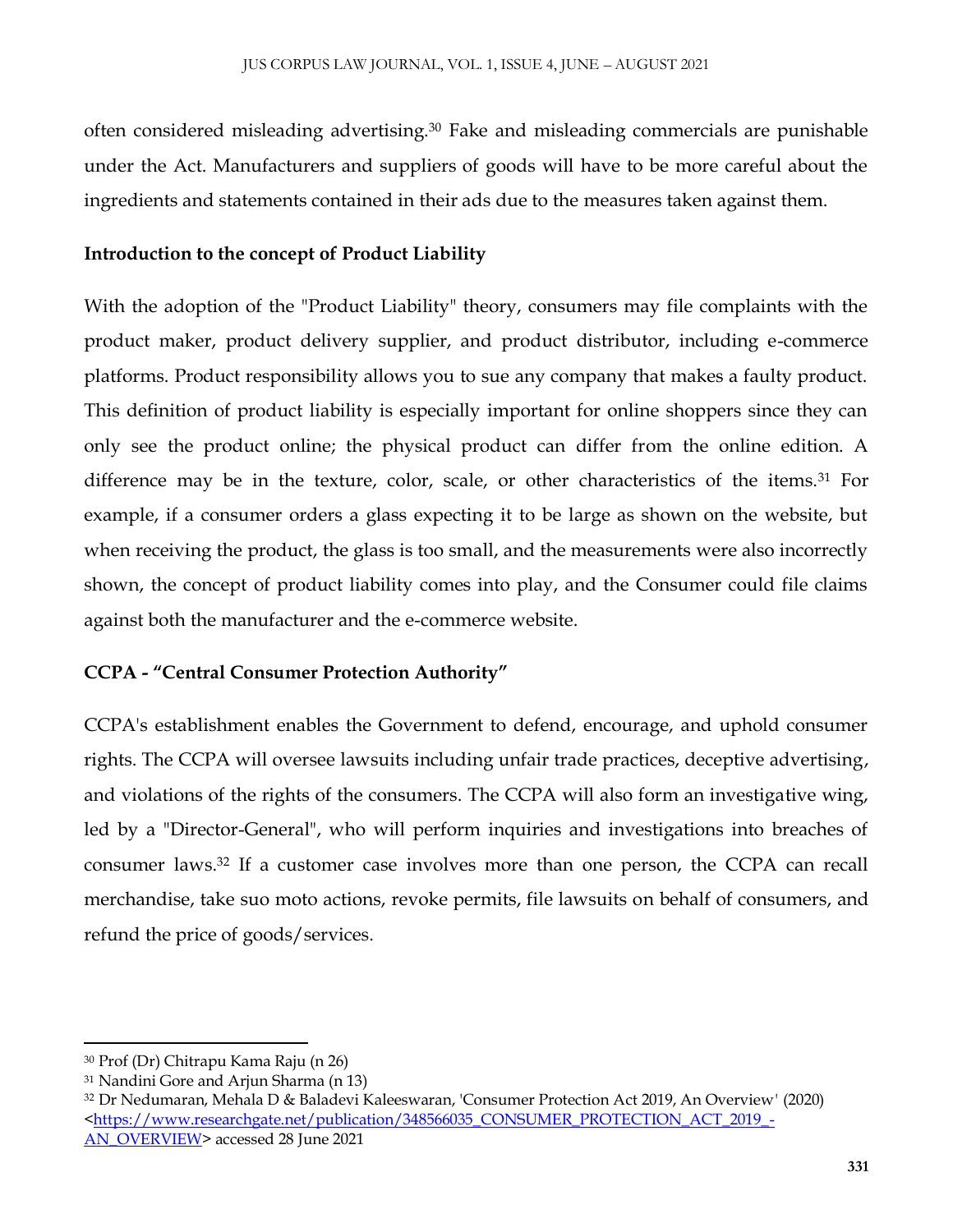often considered misleading advertising.<sup>30</sup> Fake and misleading commercials are punishable under the Act. Manufacturers and suppliers of goods will have to be more careful about the ingredients and statements contained in their ads due to the measures taken against them.

#### **Introduction to the concept of Product Liability**

With the adoption of the "Product Liability" theory, consumers may file complaints with the product maker, product delivery supplier, and product distributor, including e-commerce platforms. Product responsibility allows you to sue any company that makes a faulty product. This definition of product liability is especially important for online shoppers since they can only see the product online; the physical product can differ from the online edition. A difference may be in the texture, color, scale, or other characteristics of the items.<sup>31</sup> For example, if a consumer orders a glass expecting it to be large as shown on the website, but when receiving the product, the glass is too small, and the measurements were also incorrectly shown, the concept of product liability comes into play, and the Consumer could file claims against both the manufacturer and the e-commerce website.

#### **CCPA - "Central Consumer Protection Authority"**

CCPA's establishment enables the Government to defend, encourage, and uphold consumer rights. The CCPA will oversee lawsuits including unfair trade practices, deceptive advertising, and violations of the rights of the consumers. The CCPA will also form an investigative wing, led by a "Director-General", who will perform inquiries and investigations into breaches of consumer laws.<sup>32</sup> If a customer case involves more than one person, the CCPA can recall merchandise, take suo moto actions, revoke permits, file lawsuits on behalf of consumers, and refund the price of goods/services.

<sup>30</sup> Prof (Dr) Chitrapu Kama Raju (n 26)

<sup>31</sup> Nandini Gore and Arjun Sharma (n 13)

<sup>32</sup> Dr Nedumaran, Mehala D & Baladevi Kaleeswaran, 'Consumer Protection Act 2019, An Overview*'* (2020) <https://www.researchgate.net/publication/348566035\_CONSUMER\_PROTECTION\_ACT\_2019\_ [AN\\_OVERVIEW>](https://www.researchgate.net/publication/348566035_CONSUMER_PROTECTION_ACT_2019_-AN_OVERVIEW) accessed 28 June 2021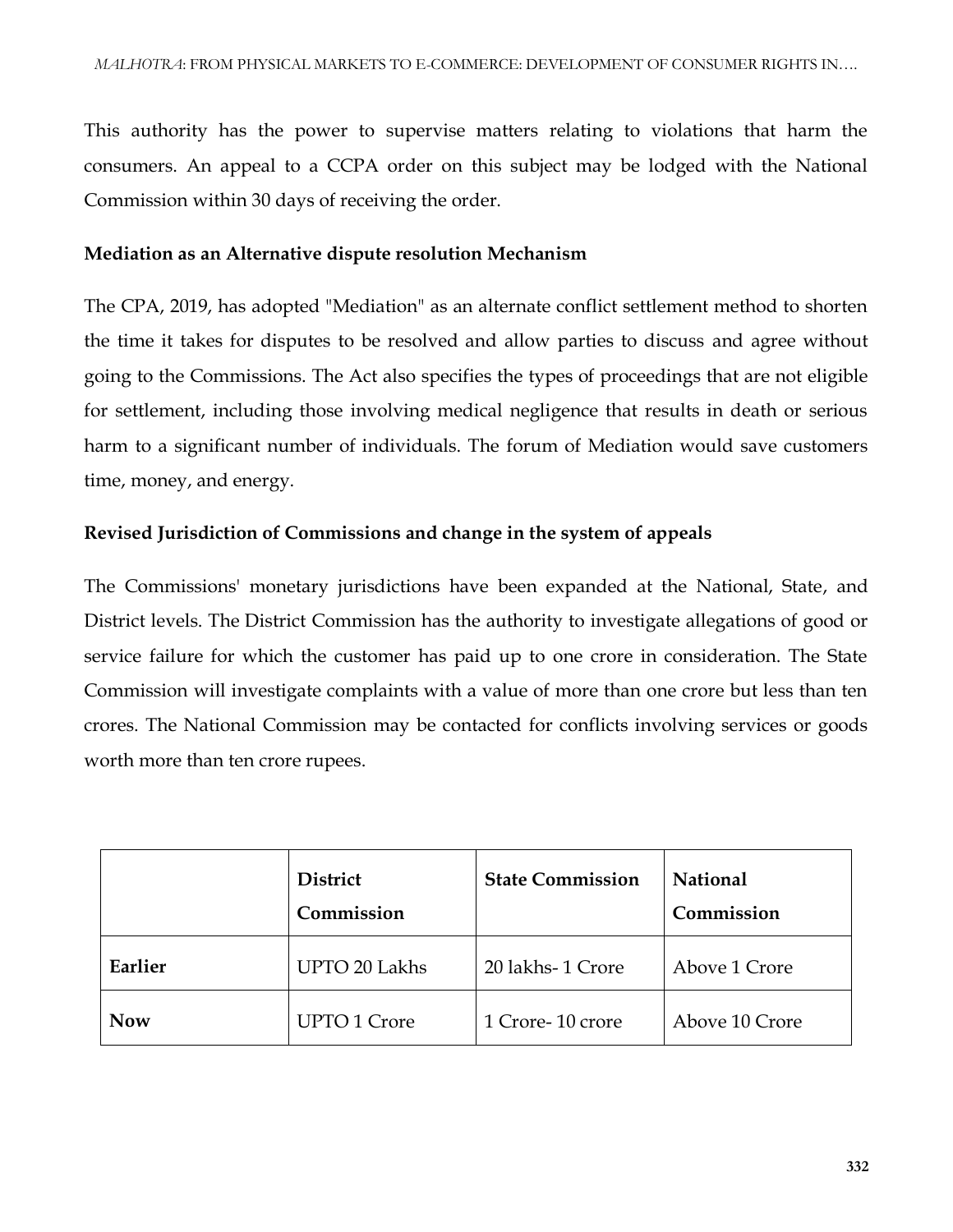This authority has the power to supervise matters relating to violations that harm the consumers. An appeal to a CCPA order on this subject may be lodged with the National Commission within 30 days of receiving the order.

#### **Mediation as an Alternative dispute resolution Mechanism**

The CPA, 2019, has adopted "Mediation" as an alternate conflict settlement method to shorten the time it takes for disputes to be resolved and allow parties to discuss and agree without going to the Commissions. The Act also specifies the types of proceedings that are not eligible for settlement, including those involving medical negligence that results in death or serious harm to a significant number of individuals. The forum of Mediation would save customers time, money, and energy.

#### **Revised Jurisdiction of Commissions and change in the system of appeals**

The Commissions' monetary jurisdictions have been expanded at the National, State, and District levels. The District Commission has the authority to investigate allegations of good or service failure for which the customer has paid up to one crore in consideration. The State Commission will investigate complaints with a value of more than one crore but less than ten crores. The National Commission may be contacted for conflicts involving services or goods worth more than ten crore rupees.

|            | <b>District</b><br>Commission | <b>State Commission</b> | <b>National</b><br>Commission |
|------------|-------------------------------|-------------------------|-------------------------------|
| Earlier    | <b>UPTO 20 Lakhs</b>          | 20 lakhs-1 Crore        | Above 1 Crore                 |
| <b>Now</b> | <b>UPTO 1 Crore</b>           | 1 Crore-10 crore        | Above 10 Crore                |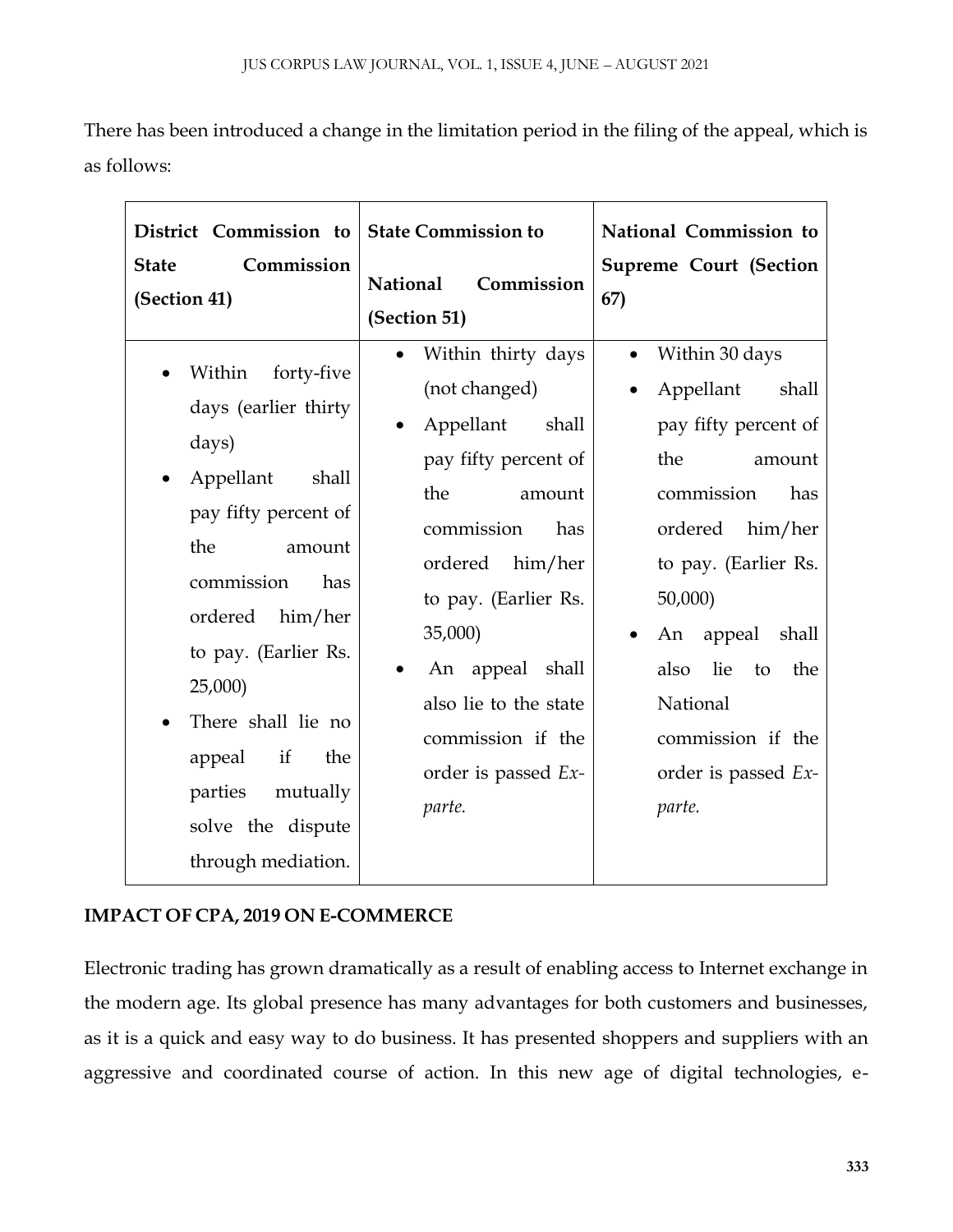There has been introduced a change in the limitation period in the filing of the appeal, which is as follows:

| District Commission to<br>Commission<br><b>State</b><br>(Section 41)                                                                                                                                                                                                                                             | <b>State Commission to</b><br><b>National</b><br>Commission<br>(Section 51)                                                                                                                                                                                                           | National Commission to<br><b>Supreme Court (Section</b><br>67)                                                                                                                                                                                                                                    |
|------------------------------------------------------------------------------------------------------------------------------------------------------------------------------------------------------------------------------------------------------------------------------------------------------------------|---------------------------------------------------------------------------------------------------------------------------------------------------------------------------------------------------------------------------------------------------------------------------------------|---------------------------------------------------------------------------------------------------------------------------------------------------------------------------------------------------------------------------------------------------------------------------------------------------|
| Within<br>forty-five<br>days (earlier thirty<br>days)<br>Appellant<br>shall<br>pay fifty percent of<br>the<br>amount<br>commission<br>has<br>him/her<br>ordered<br>to pay. (Earlier Rs.<br>25,000<br>There shall lie no<br>if<br>the<br>appeal<br>mutually<br>parties<br>solve the dispute<br>through mediation. | Within thirty days<br>(not changed)<br>Appellant<br>shall<br>pay fifty percent of<br>the<br>amount<br>commission<br>has<br>ordered<br>him/her<br>to pay. (Earlier Rs.<br>35,000)<br>An appeal shall<br>also lie to the state<br>commission if the<br>order is passed $Ex$ -<br>parte. | Within 30 days<br>$\bullet$<br>Appellant<br>shall<br>pay fifty percent of<br>the<br>amount<br>commission<br>has<br>ordered<br>him/her<br>to pay. (Earlier Rs.<br>50,000<br>appeal<br>shall<br>An<br>lie<br>also<br>to<br>the<br>National<br>commission if the<br>order is passed $Ex$ -<br>parte. |

### **IMPACT OF CPA, 2019 ON E-COMMERCE**

Electronic trading has grown dramatically as a result of enabling access to Internet exchange in the modern age. Its global presence has many advantages for both customers and businesses, as it is a quick and easy way to do business. It has presented shoppers and suppliers with an aggressive and coordinated course of action. In this new age of digital technologies, e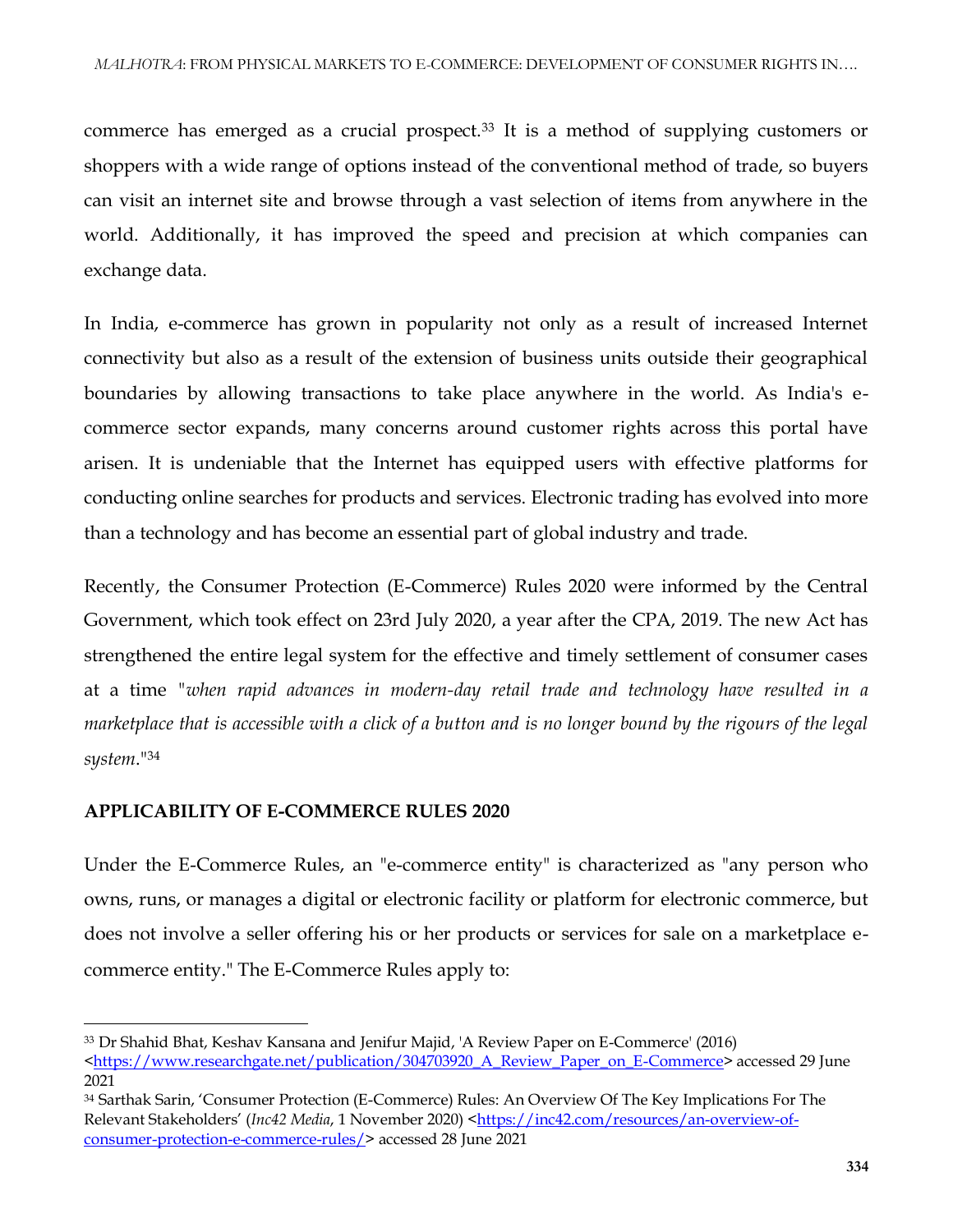commerce has emerged as a crucial prospect.<sup>33</sup> It is a method of supplying customers or shoppers with a wide range of options instead of the conventional method of trade, so buyers can visit an internet site and browse through a vast selection of items from anywhere in the world. Additionally, it has improved the speed and precision at which companies can exchange data.

In India, e-commerce has grown in popularity not only as a result of increased Internet connectivity but also as a result of the extension of business units outside their geographical boundaries by allowing transactions to take place anywhere in the world. As India's ecommerce sector expands, many concerns around customer rights across this portal have arisen. It is undeniable that the Internet has equipped users with effective platforms for conducting online searches for products and services. Electronic trading has evolved into more than a technology and has become an essential part of global industry and trade.

Recently, the Consumer Protection (E-Commerce) Rules 2020 were informed by the Central Government, which took effect on 23rd July 2020, a year after the CPA, 2019. The new Act has strengthened the entire legal system for the effective and timely settlement of consumer cases at a time *"when rapid advances in modern-day retail trade and technology have resulted in a marketplace that is accessible with a click of a button and is no longer bound by the rigours of the legal system*."<sup>34</sup>

#### **APPLICABILITY OF E-COMMERCE RULES 2020**

 $\overline{a}$ 

Under the E-Commerce Rules, an "e-commerce entity" is characterized as "any person who owns, runs, or manages a digital or electronic facility or platform for electronic commerce, but does not involve a seller offering his or her products or services for sale on a marketplace ecommerce entity." The E-Commerce Rules apply to:

<sup>33</sup> Dr Shahid Bhat, Keshav Kansana and Jenifur Majid, 'A Review Paper on E-Commerce' (2016) [<https://www.researchgate.net/publication/304703920\\_A\\_Review\\_Paper\\_on\\_E-Commerce>](https://www.researchgate.net/publication/304703920_A_Review_Paper_on_E-Commerce) accessed 29 June 2021

<sup>34</sup> Sarthak Sarin, 'Consumer Protection (E-Commerce) Rules: An Overview Of The Key Implications For The Relevant Stakeholders' (*Inc42 Media*, 1 November 2020) [<https://inc42.com/resources/an-overview-of](https://inc42.com/resources/an-overview-of-consumer-protection-e-commerce-rules/)[consumer-protection-e-commerce-rules/>](https://inc42.com/resources/an-overview-of-consumer-protection-e-commerce-rules/) accessed 28 June 2021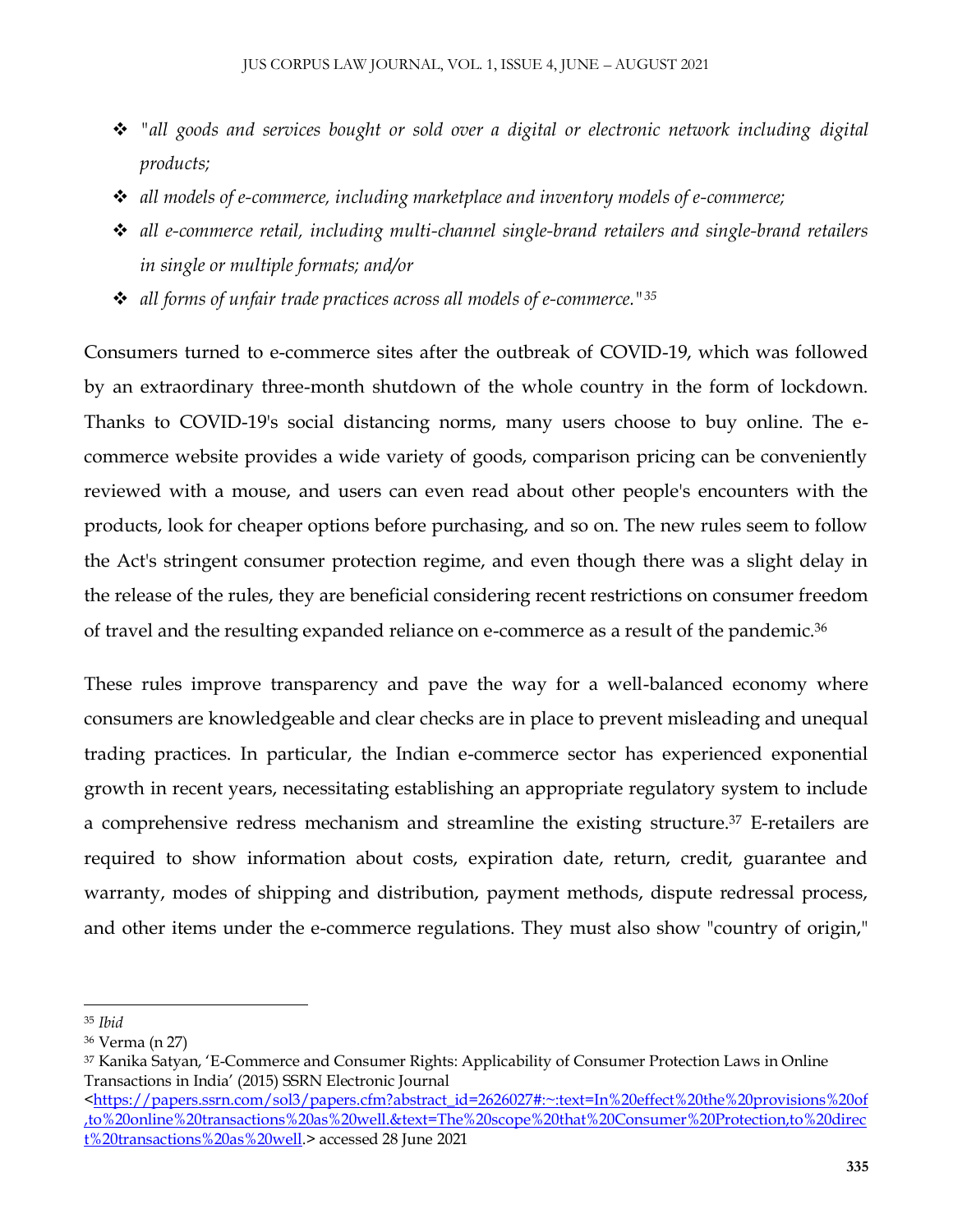- *"all goods and services bought or sold over a digital or electronic network including digital products;*
- *all models of e-commerce, including marketplace and inventory models of e-commerce;*
- *all e-commerce retail, including multi-channel single-brand retailers and single-brand retailers in single or multiple formats; and/or*
- *all forms of unfair trade practices across all models of e-commerce."<sup>35</sup>*

Consumers turned to e-commerce sites after the outbreak of COVID-19, which was followed by an extraordinary three-month shutdown of the whole country in the form of lockdown. Thanks to COVID-19's social distancing norms, many users choose to buy online. The ecommerce website provides a wide variety of goods, comparison pricing can be conveniently reviewed with a mouse, and users can even read about other people's encounters with the products, look for cheaper options before purchasing, and so on. The new rules seem to follow the Act's stringent consumer protection regime, and even though there was a slight delay in the release of the rules, they are beneficial considering recent restrictions on consumer freedom of travel and the resulting expanded reliance on e-commerce as a result of the pandemic.<sup>36</sup>

These rules improve transparency and pave the way for a well-balanced economy where consumers are knowledgeable and clear checks are in place to prevent misleading and unequal trading practices. In particular, the Indian e-commerce sector has experienced exponential growth in recent years, necessitating establishing an appropriate regulatory system to include a comprehensive redress mechanism and streamline the existing structure.<sup>37</sup> E-retailers are required to show information about costs, expiration date, return, credit, guarantee and warranty, modes of shipping and distribution, payment methods, dispute redressal process, and other items under the e-commerce regulations. They must also show "country of origin,"

 $\overline{a}$ <sup>35</sup> *Ibid*

<sup>36</sup> Verma (n 27)

<sup>37</sup> Kanika Satyan, 'E-Commerce and Consumer Rights: Applicability of Consumer Protection Laws in Online Transactions in India' (2015) SSRN Electronic Journal

[<sup>&</sup>lt;https://papers.ssrn.com/sol3/papers.cfm?abstract\\_id=2626027#:~:text=In%20effect%20the%20provisions%20of](https://papers.ssrn.com/sol3/papers.cfm?abstract_id=2626027#:~:text=In%20effect%20the%20provisions%20of,to%20online%20transactions%20as%20well.&text=The%20scope%20that%20Consumer%20Protection,to%20direct%20transactions%20as%20well) [,to%20online%20transactions%20as%20well.&text=The%20scope%20that%20Consumer%20Protection,to%20direc](https://papers.ssrn.com/sol3/papers.cfm?abstract_id=2626027#:~:text=In%20effect%20the%20provisions%20of,to%20online%20transactions%20as%20well.&text=The%20scope%20that%20Consumer%20Protection,to%20direct%20transactions%20as%20well) [t%20transactions%20as%20well.](https://papers.ssrn.com/sol3/papers.cfm?abstract_id=2626027#:~:text=In%20effect%20the%20provisions%20of,to%20online%20transactions%20as%20well.&text=The%20scope%20that%20Consumer%20Protection,to%20direct%20transactions%20as%20well)> accessed 28 June 2021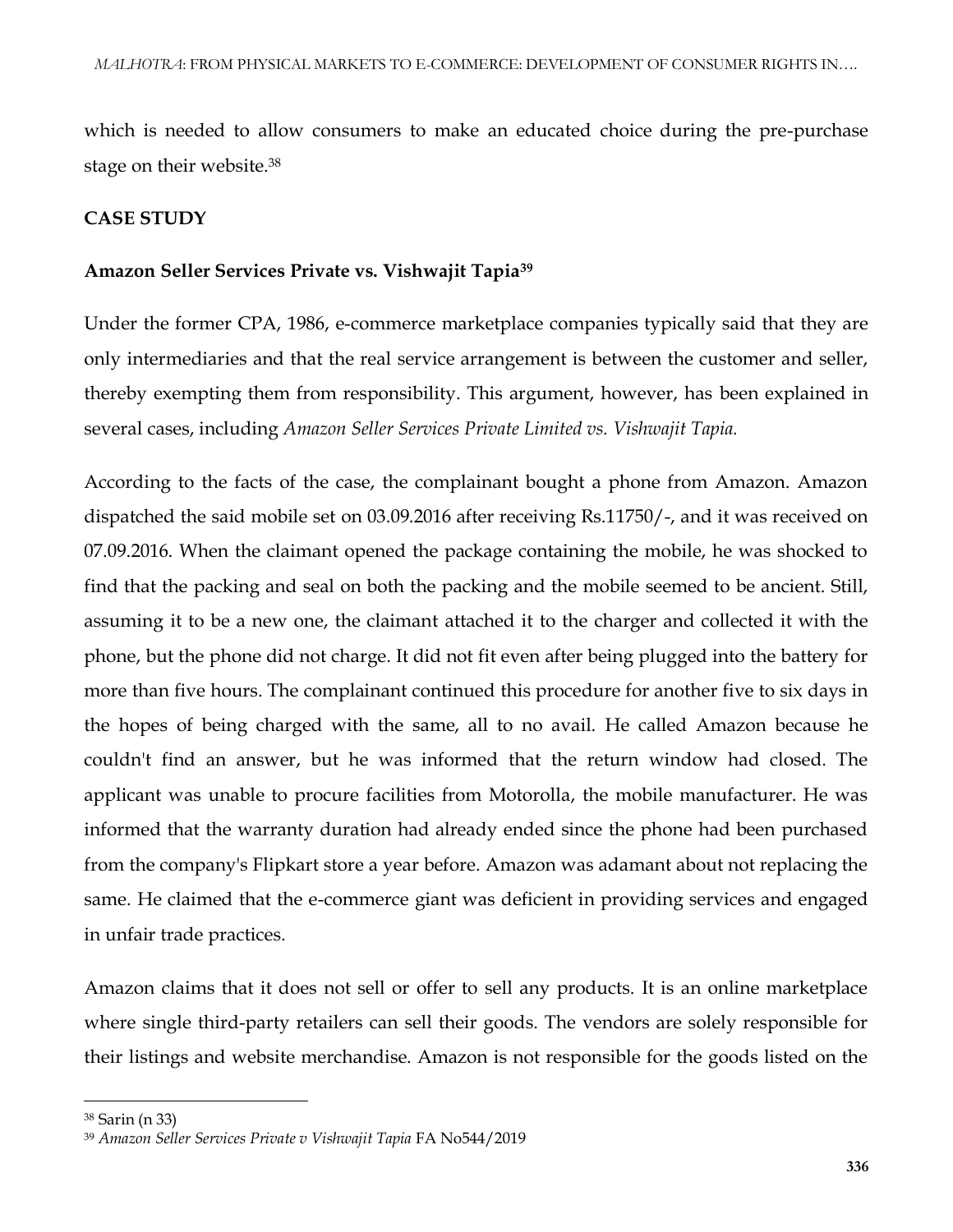which is needed to allow consumers to make an educated choice during the pre-purchase stage on their website.<sup>38</sup>

#### **CASE STUDY**

#### **Amazon Seller Services Private vs. Vishwajit Tapia<sup>39</sup>**

Under the former CPA, 1986, e-commerce marketplace companies typically said that they are only intermediaries and that the real service arrangement is between the customer and seller, thereby exempting them from responsibility. This argument, however, has been explained in several cases, including *Amazon Seller Services Private Limited vs. Vishwajit Tapia.*

According to the facts of the case, the complainant bought a phone from Amazon. Amazon dispatched the said mobile set on 03.09.2016 after receiving Rs.11750/-, and it was received on 07.09.2016. When the claimant opened the package containing the mobile, he was shocked to find that the packing and seal on both the packing and the mobile seemed to be ancient. Still, assuming it to be a new one, the claimant attached it to the charger and collected it with the phone, but the phone did not charge. It did not fit even after being plugged into the battery for more than five hours. The complainant continued this procedure for another five to six days in the hopes of being charged with the same, all to no avail. He called Amazon because he couldn't find an answer, but he was informed that the return window had closed. The applicant was unable to procure facilities from Motorolla, the mobile manufacturer. He was informed that the warranty duration had already ended since the phone had been purchased from the company's Flipkart store a year before. Amazon was adamant about not replacing the same. He claimed that the e-commerce giant was deficient in providing services and engaged in unfair trade practices.

Amazon claims that it does not sell or offer to sell any products. It is an online marketplace where single third-party retailers can sell their goods. The vendors are solely responsible for their listings and website merchandise. Amazon is not responsible for the goods listed on the

 $\overline{\phantom{a}}$ 

<sup>38</sup> Sarin (n 33)

<sup>39</sup> *Amazon Seller Services Private v Vishwajit Tapia* FA No544/2019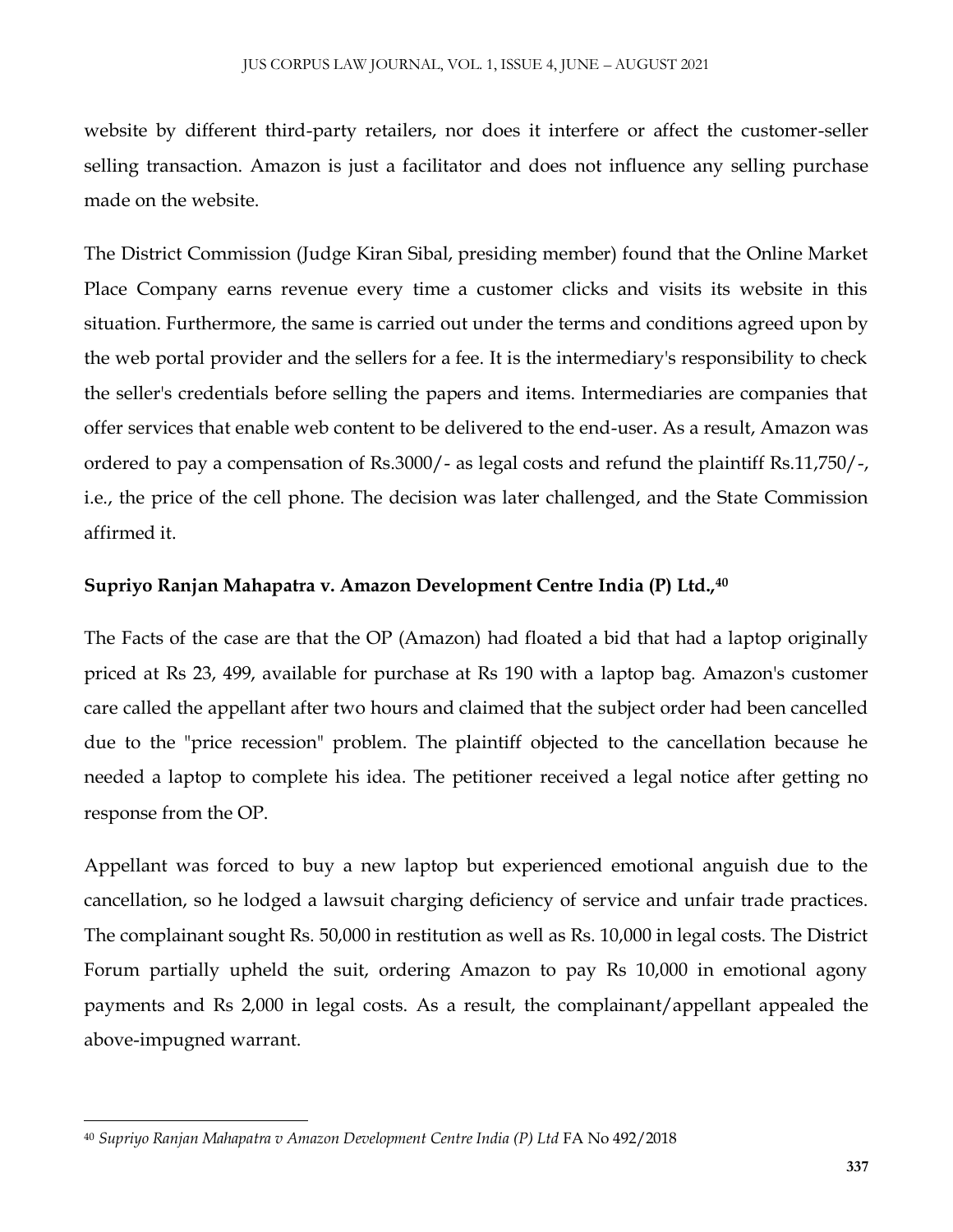website by different third-party retailers, nor does it interfere or affect the customer-seller selling transaction. Amazon is just a facilitator and does not influence any selling purchase made on the website.

The District Commission (Judge Kiran Sibal, presiding member) found that the Online Market Place Company earns revenue every time a customer clicks and visits its website in this situation. Furthermore, the same is carried out under the terms and conditions agreed upon by the web portal provider and the sellers for a fee. It is the intermediary's responsibility to check the seller's credentials before selling the papers and items. Intermediaries are companies that offer services that enable web content to be delivered to the end-user. As a result, Amazon was ordered to pay a compensation of Rs.3000/- as legal costs and refund the plaintiff Rs.11,750/-, i.e., the price of the cell phone. The decision was later challenged, and the State Commission affirmed it.

#### **Supriyo Ranjan Mahapatra v. Amazon Development Centre India (P) Ltd.,<sup>40</sup>**

The Facts of the case are that the OP (Amazon) had floated a bid that had a laptop originally priced at Rs 23, 499, available for purchase at Rs 190 with a laptop bag. Amazon's customer care called the appellant after two hours and claimed that the subject order had been cancelled due to the "price recession" problem. The plaintiff objected to the cancellation because he needed a laptop to complete his idea. The petitioner received a legal notice after getting no response from the OP.

Appellant was forced to buy a new laptop but experienced emotional anguish due to the cancellation, so he lodged a lawsuit charging deficiency of service and unfair trade practices. The complainant sought Rs. 50,000 in restitution as well as Rs. 10,000 in legal costs. The District Forum partially upheld the suit, ordering Amazon to pay Rs 10,000 in emotional agony payments and Rs 2,000 in legal costs. As a result, the complainant/appellant appealed the above-impugned warrant.

 $\overline{\phantom{a}}$ 

<sup>40</sup> *Supriyo Ranjan Mahapatra v Amazon Development Centre India (P) Ltd* FA No 492/2018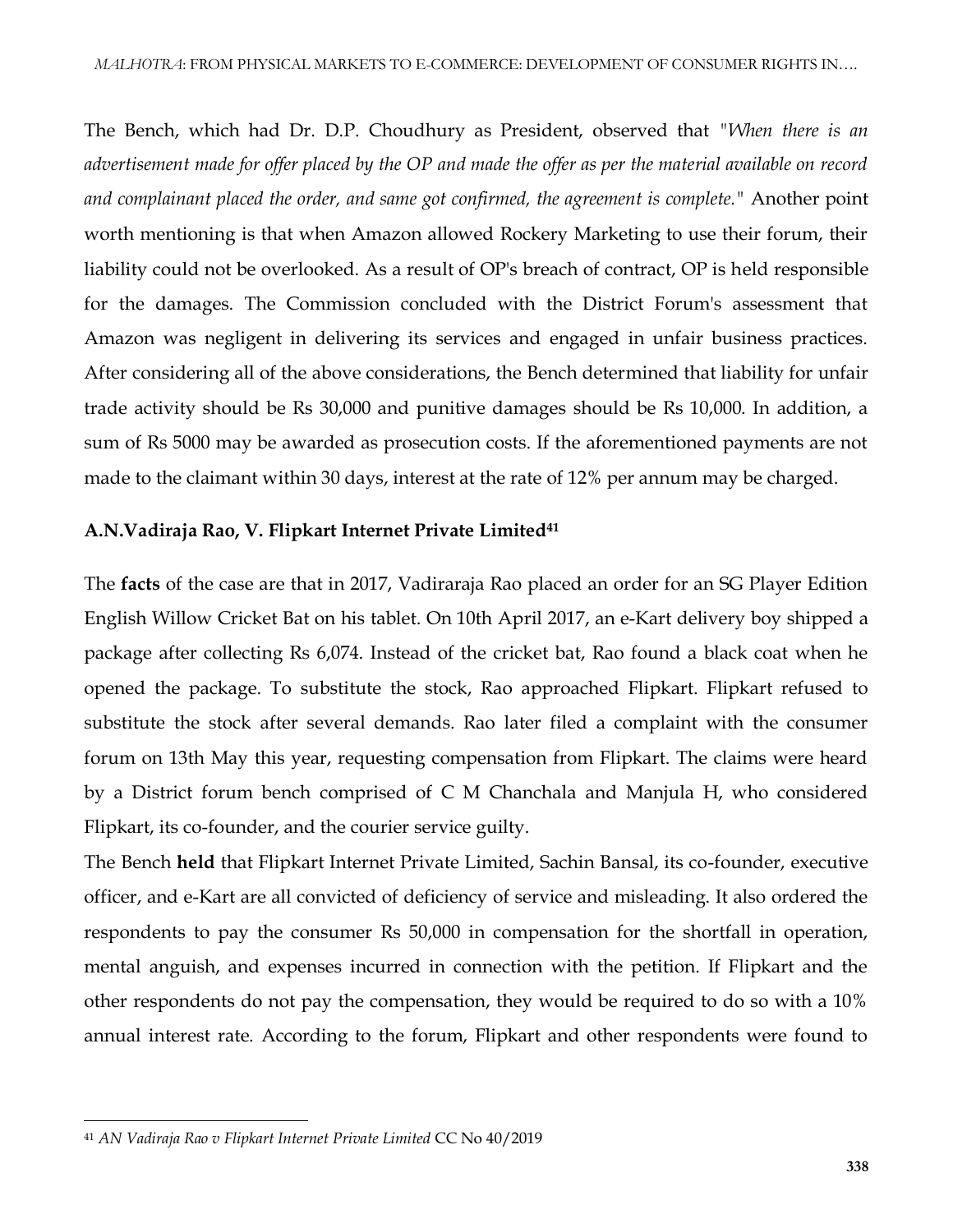The Bench, which had Dr. D.P. Choudhury as President, observed that *"When there is an advertisement made for offer placed by the OP and made the offer as per the material available on record and complainant placed the order, and same got confirmed, the agreement is complete."* Another point worth mentioning is that when Amazon allowed Rockery Marketing to use their forum, their liability could not be overlooked. As a result of OP's breach of contract, OP is held responsible for the damages. The Commission concluded with the District Forum's assessment that Amazon was negligent in delivering its services and engaged in unfair business practices. After considering all of the above considerations, the Bench determined that liability for unfair trade activity should be Rs 30,000 and punitive damages should be Rs 10,000. In addition, a sum of Rs 5000 may be awarded as prosecution costs. If the aforementioned payments are not made to the claimant within 30 days, interest at the rate of 12% per annum may be charged.

#### **A.N.Vadiraja Rao, V. Flipkart Internet Private Limited<sup>41</sup>**

The **facts** of the case are that in 2017, Vadiraraja Rao placed an order for an SG Player Edition English Willow Cricket Bat on his tablet. On 10th April 2017, an e-Kart delivery boy shipped a package after collecting Rs 6,074. Instead of the cricket bat, Rao found a black coat when he opened the package. To substitute the stock, Rao approached Flipkart. Flipkart refused to substitute the stock after several demands. Rao later filed a complaint with the consumer forum on 13th May this year, requesting compensation from Flipkart. The claims were heard by a District forum bench comprised of C M Chanchala and Manjula H, who considered Flipkart, its co-founder, and the courier service guilty.

The Bench **held** that Flipkart Internet Private Limited, Sachin Bansal, its co-founder, executive officer, and e-Kart are all convicted of deficiency of service and misleading. It also ordered the respondents to pay the consumer Rs 50,000 in compensation for the shortfall in operation, mental anguish, and expenses incurred in connection with the petition. If Flipkart and the other respondents do not pay the compensation, they would be required to do so with a 10% annual interest rate. According to the forum, Flipkart and other respondents were found to

 $\overline{\phantom{a}}$ <sup>41</sup> *AN Vadiraja Rao v Flipkart Internet Private Limited* CC No 40/2019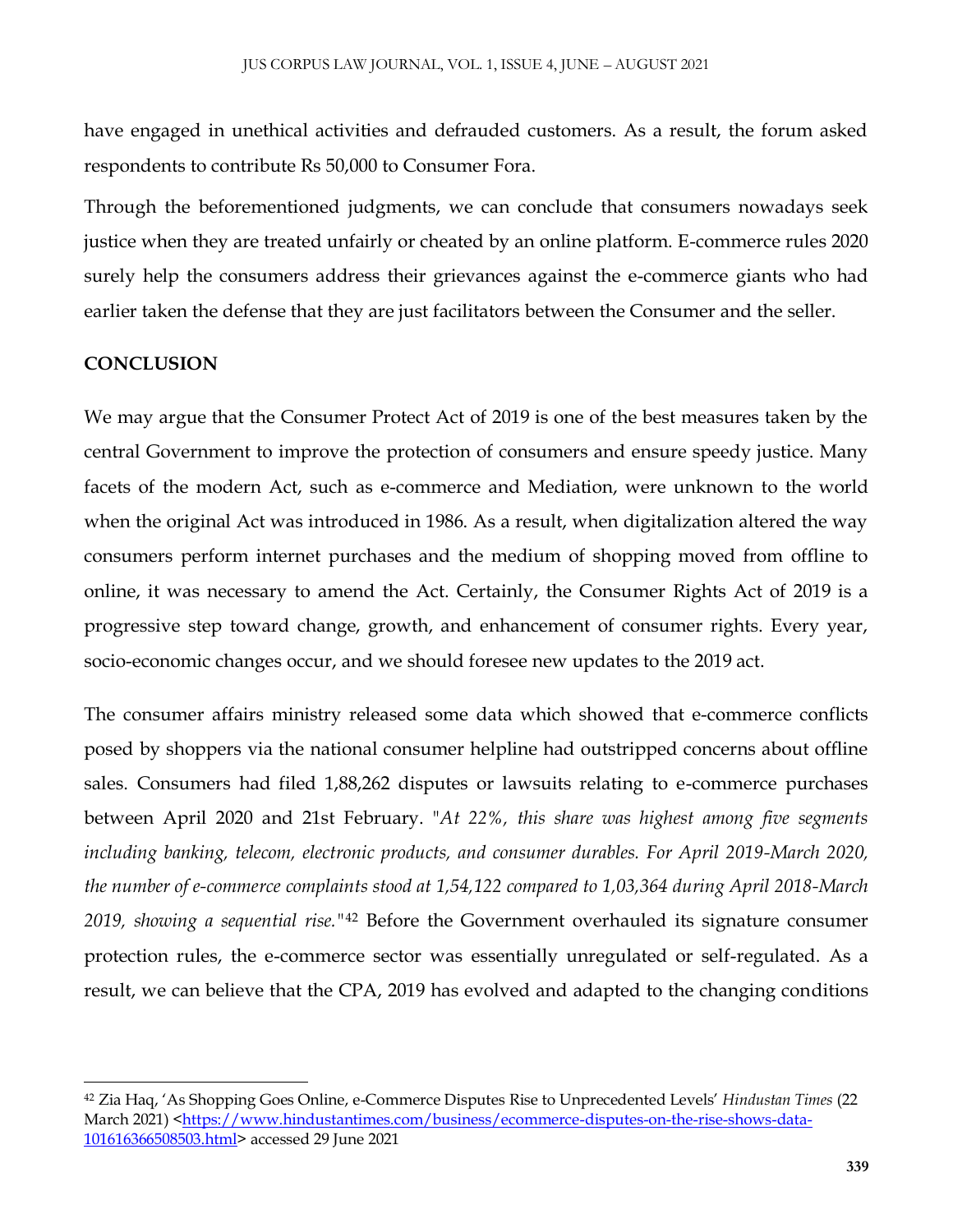have engaged in unethical activities and defrauded customers. As a result, the forum asked respondents to contribute Rs 50,000 to Consumer Fora.

Through the beforementioned judgments, we can conclude that consumers nowadays seek justice when they are treated unfairly or cheated by an online platform. E-commerce rules 2020 surely help the consumers address their grievances against the e-commerce giants who had earlier taken the defense that they are just facilitators between the Consumer and the seller.

#### **CONCLUSION**

 $\overline{\phantom{a}}$ 

We may argue that the Consumer Protect Act of 2019 is one of the best measures taken by the central Government to improve the protection of consumers and ensure speedy justice. Many facets of the modern Act, such as e-commerce and Mediation, were unknown to the world when the original Act was introduced in 1986. As a result, when digitalization altered the way consumers perform internet purchases and the medium of shopping moved from offline to online, it was necessary to amend the Act. Certainly, the Consumer Rights Act of 2019 is a progressive step toward change, growth, and enhancement of consumer rights. Every year, socio-economic changes occur, and we should foresee new updates to the 2019 act.

The consumer affairs ministry released some data which showed that e-commerce conflicts posed by shoppers via the national consumer helpline had outstripped concerns about offline sales. Consumers had filed 1,88,262 disputes or lawsuits relating to e-commerce purchases between April 2020 and 21st February. "*At 22%, this share was highest among five segments including banking, telecom, electronic products, and consumer durables. For April 2019-March 2020, the number of e-commerce complaints stood at 1,54,122 compared to 1,03,364 during April 2018-March 2019, showing a sequential rise."*<sup>42</sup> Before the Government overhauled its signature consumer protection rules, the e-commerce sector was essentially unregulated or self-regulated. As a result, we can believe that the CPA, 2019 has evolved and adapted to the changing conditions

<sup>42</sup> Zia Haq, 'As Shopping Goes Online, e-Commerce Disputes Rise to Unprecedented Levels' *Hindustan Times* (22 March 2021) [<https://www.hindustantimes.com/business/ecommerce-disputes-on-the-rise-shows-data-](https://www.hindustantimes.com/business/ecommerce-disputes-on-the-rise-shows-data-101616366508503.html)[101616366508503.html>](https://www.hindustantimes.com/business/ecommerce-disputes-on-the-rise-shows-data-101616366508503.html) accessed 29 June 2021